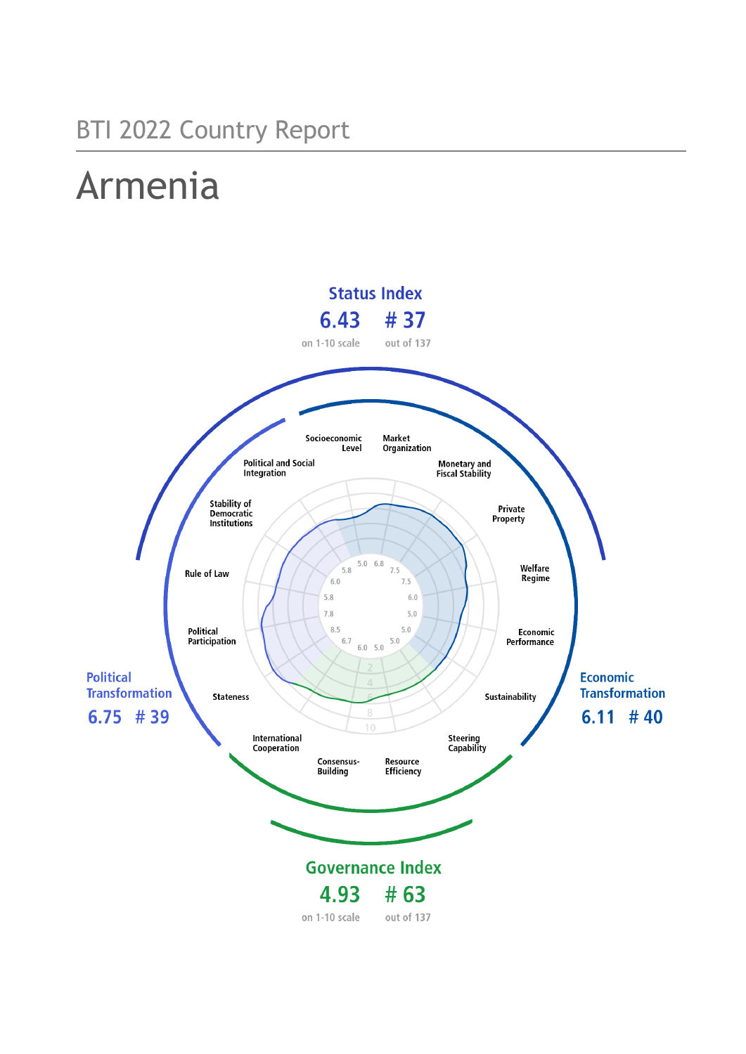## BTI 2022 Country Report

# Armenia

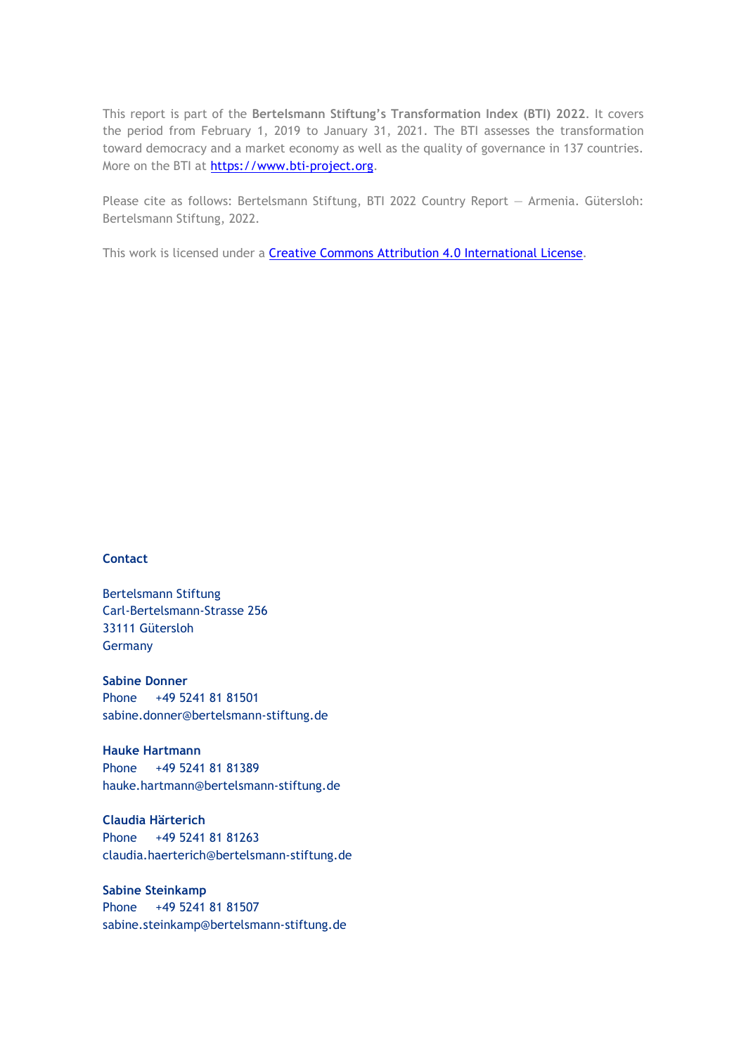This report is part of the **Bertelsmann Stiftung's Transformation Index (BTI) 2022**. It covers the period from February 1, 2019 to January 31, 2021. The BTI assesses the transformation toward democracy and a market economy as well as the quality of governance in 137 countries. More on the BTI at [https://www.bti-project.org.](https://www.bti-project.org/)

Please cite as follows: Bertelsmann Stiftung, BTI 2022 Country Report — Armenia. Gütersloh: Bertelsmann Stiftung, 2022.

This work is licensed under a **Creative Commons Attribution 4.0 International License**.

#### **Contact**

Bertelsmann Stiftung Carl-Bertelsmann-Strasse 256 33111 Gütersloh Germany

**Sabine Donner** Phone +49 5241 81 81501 sabine.donner@bertelsmann-stiftung.de

**Hauke Hartmann** Phone +49 5241 81 81389 hauke.hartmann@bertelsmann-stiftung.de

**Claudia Härterich** Phone +49 5241 81 81263 claudia.haerterich@bertelsmann-stiftung.de

#### **Sabine Steinkamp** Phone +49 5241 81 81507 sabine.steinkamp@bertelsmann-stiftung.de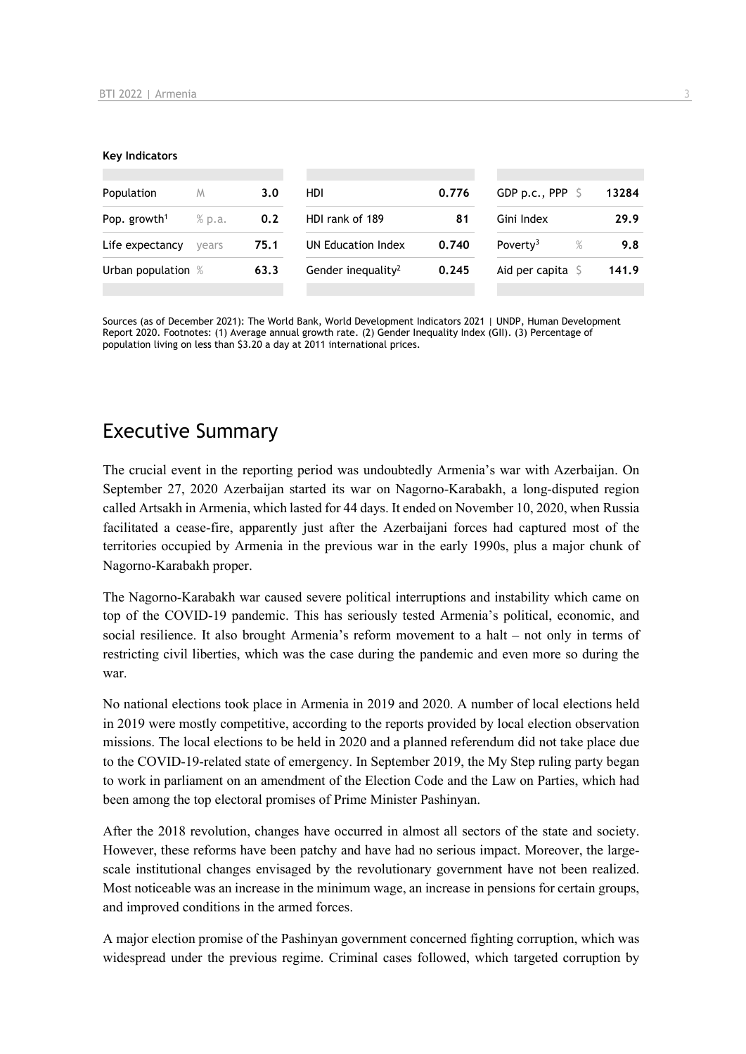#### **Key Indicators**

| Population               | M      | 3.0  | HDI                            | 0.776 | GDP p.c., PPP $\ S$        | 13284 |
|--------------------------|--------|------|--------------------------------|-------|----------------------------|-------|
| Pop. growth <sup>1</sup> | % p.a. | 0.2  | HDI rank of 189                | 81    | Gini Index                 | 29.9  |
| Life expectancy          | vears  | 75.1 | UN Education Index             | 0.740 | Poverty <sup>3</sup><br>%  | 9.8   |
| Urban population %       |        | 63.3 | Gender inequality <sup>2</sup> | 0.245 | Aid per capita $\mathsf S$ | 141.9 |
|                          |        |      |                                |       |                            |       |

Sources (as of December 2021): The World Bank, World Development Indicators 2021 | UNDP, Human Development Report 2020. Footnotes: (1) Average annual growth rate. (2) Gender Inequality Index (GII). (3) Percentage of population living on less than \$3.20 a day at 2011 international prices.

## Executive Summary

The crucial event in the reporting period was undoubtedly Armenia's war with Azerbaijan. On September 27, 2020 Azerbaijan started its war on Nagorno-Karabakh, a long-disputed region called Artsakh in Armenia, which lasted for 44 days. It ended on November 10, 2020, when Russia facilitated a cease-fire, apparently just after the Azerbaijani forces had captured most of the territories occupied by Armenia in the previous war in the early 1990s, plus a major chunk of Nagorno-Karabakh proper.

The Nagorno-Karabakh war caused severe political interruptions and instability which came on top of the COVID-19 pandemic. This has seriously tested Armenia's political, economic, and social resilience. It also brought Armenia's reform movement to a halt – not only in terms of restricting civil liberties, which was the case during the pandemic and even more so during the war.

No national elections took place in Armenia in 2019 and 2020. A number of local elections held in 2019 were mostly competitive, according to the reports provided by local election observation missions. The local elections to be held in 2020 and a planned referendum did not take place due to the COVID-19-related state of emergency. In September 2019, the My Step ruling party began to work in parliament on an amendment of the Election Code and the Law on Parties, which had been among the top electoral promises of Prime Minister Pashinyan.

After the 2018 revolution, changes have occurred in almost all sectors of the state and society. However, these reforms have been patchy and have had no serious impact. Moreover, the largescale institutional changes envisaged by the revolutionary government have not been realized. Most noticeable was an increase in the minimum wage, an increase in pensions for certain groups, and improved conditions in the armed forces.

A major election promise of the Pashinyan government concerned fighting corruption, which was widespread under the previous regime. Criminal cases followed, which targeted corruption by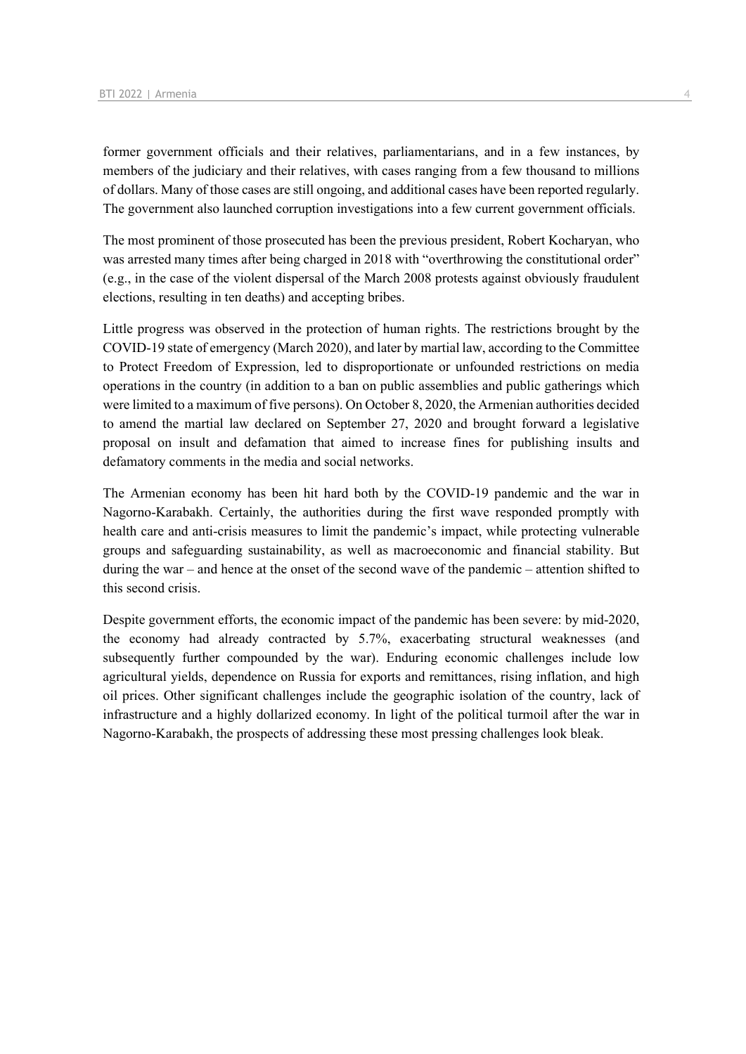former government officials and their relatives, parliamentarians, and in a few instances, by members of the judiciary and their relatives, with cases ranging from a few thousand to millions of dollars. Many of those cases are still ongoing, and additional cases have been reported regularly. The government also launched corruption investigations into a few current government officials.

The most prominent of those prosecuted has been the previous president, Robert Kocharyan, who was arrested many times after being charged in 2018 with "overthrowing the constitutional order" (e.g., in the case of the violent dispersal of the March 2008 protests against obviously fraudulent elections, resulting in ten deaths) and accepting bribes.

Little progress was observed in the protection of human rights. The restrictions brought by the COVID-19 state of emergency (March 2020), and later by martial law, according to the Committee to Protect Freedom of Expression, led to disproportionate or unfounded restrictions on media operations in the country (in addition to a ban on public assemblies and public gatherings which were limited to a maximum of five persons). On October 8, 2020, the Armenian authorities decided to amend the martial law declared on September 27, 2020 and brought forward a legislative proposal on insult and defamation that aimed to increase fines for publishing insults and defamatory comments in the media and social networks.

The Armenian economy has been hit hard both by the COVID-19 pandemic and the war in Nagorno-Karabakh. Certainly, the authorities during the first wave responded promptly with health care and anti-crisis measures to limit the pandemic's impact, while protecting vulnerable groups and safeguarding sustainability, as well as macroeconomic and financial stability. But during the war – and hence at the onset of the second wave of the pandemic – attention shifted to this second crisis.

Despite government efforts, the economic impact of the pandemic has been severe: by mid-2020, the economy had already contracted by 5.7%, exacerbating structural weaknesses (and subsequently further compounded by the war). Enduring economic challenges include low agricultural yields, dependence on Russia for exports and remittances, rising inflation, and high oil prices. Other significant challenges include the geographic isolation of the country, lack of infrastructure and a highly dollarized economy. In light of the political turmoil after the war in Nagorno-Karabakh, the prospects of addressing these most pressing challenges look bleak.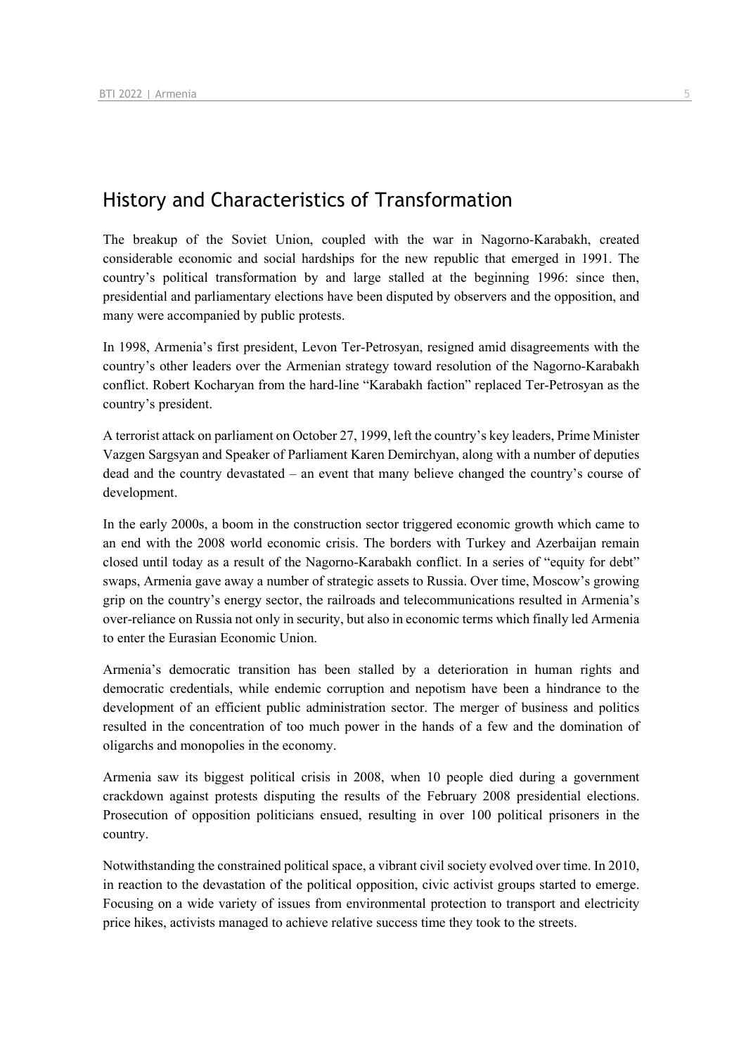## History and Characteristics of Transformation

The breakup of the Soviet Union, coupled with the war in Nagorno-Karabakh, created considerable economic and social hardships for the new republic that emerged in 1991. The country's political transformation by and large stalled at the beginning 1996: since then, presidential and parliamentary elections have been disputed by observers and the opposition, and many were accompanied by public protests.

In 1998, Armenia's first president, Levon Ter-Petrosyan, resigned amid disagreements with the country's other leaders over the Armenian strategy toward resolution of the Nagorno-Karabakh conflict. Robert Kocharyan from the hard-line "Karabakh faction" replaced Ter-Petrosyan as the country's president.

A terrorist attack on parliament on October 27, 1999, left the country's key leaders, Prime Minister Vazgen Sargsyan and Speaker of Parliament Karen Demirchyan, along with a number of deputies dead and the country devastated – an event that many believe changed the country's course of development.

In the early 2000s, a boom in the construction sector triggered economic growth which came to an end with the 2008 world economic crisis. The borders with Turkey and Azerbaijan remain closed until today as a result of the Nagorno-Karabakh conflict. In a series of "equity for debt" swaps, Armenia gave away a number of strategic assets to Russia. Over time, Moscow's growing grip on the country's energy sector, the railroads and telecommunications resulted in Armenia's over-reliance on Russia not only in security, but also in economic terms which finally led Armenia to enter the Eurasian Economic Union.

Armenia's democratic transition has been stalled by a deterioration in human rights and democratic credentials, while endemic corruption and nepotism have been a hindrance to the development of an efficient public administration sector. The merger of business and politics resulted in the concentration of too much power in the hands of a few and the domination of oligarchs and monopolies in the economy.

Armenia saw its biggest political crisis in 2008, when 10 people died during a government crackdown against protests disputing the results of the February 2008 presidential elections. Prosecution of opposition politicians ensued, resulting in over 100 political prisoners in the country.

Notwithstanding the constrained political space, a vibrant civil society evolved over time. In 2010, in reaction to the devastation of the political opposition, civic activist groups started to emerge. Focusing on a wide variety of issues from environmental protection to transport and electricity price hikes, activists managed to achieve relative success time they took to the streets.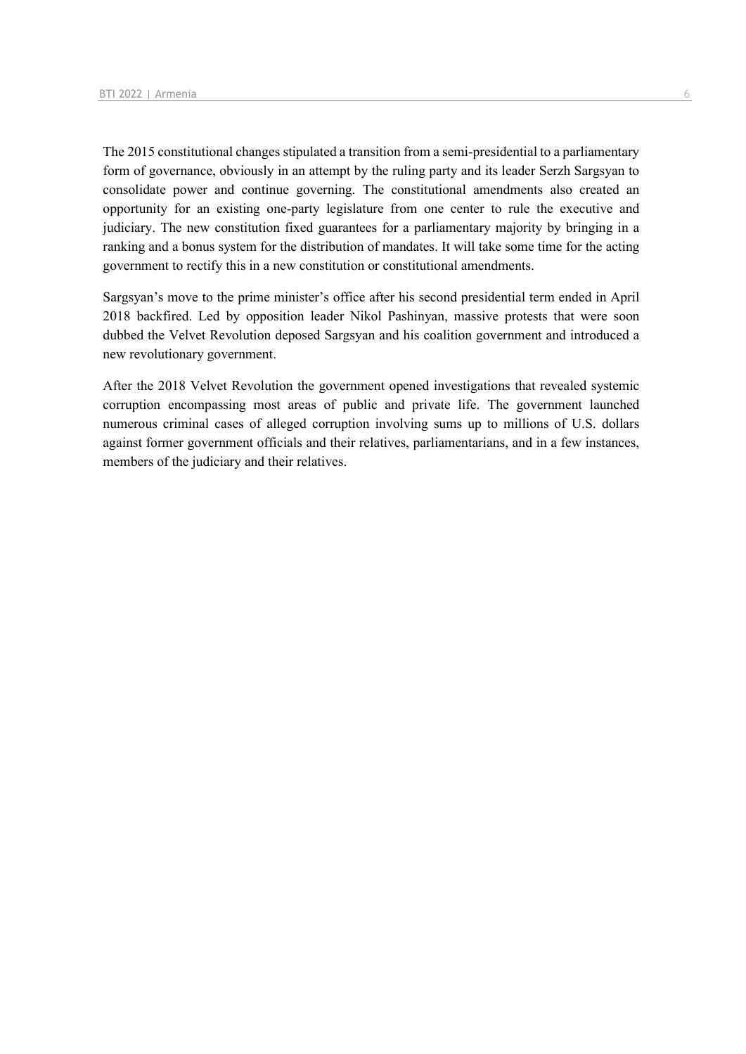The 2015 constitutional changes stipulated a transition from a semi-presidential to a parliamentary form of governance, obviously in an attempt by the ruling party and its leader Serzh Sargsyan to consolidate power and continue governing. The constitutional amendments also created an opportunity for an existing one-party legislature from one center to rule the executive and judiciary. The new constitution fixed guarantees for a parliamentary majority by bringing in a ranking and a bonus system for the distribution of mandates. It will take some time for the acting government to rectify this in a new constitution or constitutional amendments.

Sargsyan's move to the prime minister's office after his second presidential term ended in April 2018 backfired. Led by opposition leader Nikol Pashinyan, massive protests that were soon dubbed the Velvet Revolution deposed Sargsyan and his coalition government and introduced a new revolutionary government.

After the 2018 Velvet Revolution the government opened investigations that revealed systemic corruption encompassing most areas of public and private life. The government launched numerous criminal cases of alleged corruption involving sums up to millions of U.S. dollars against former government officials and their relatives, parliamentarians, and in a few instances, members of the judiciary and their relatives.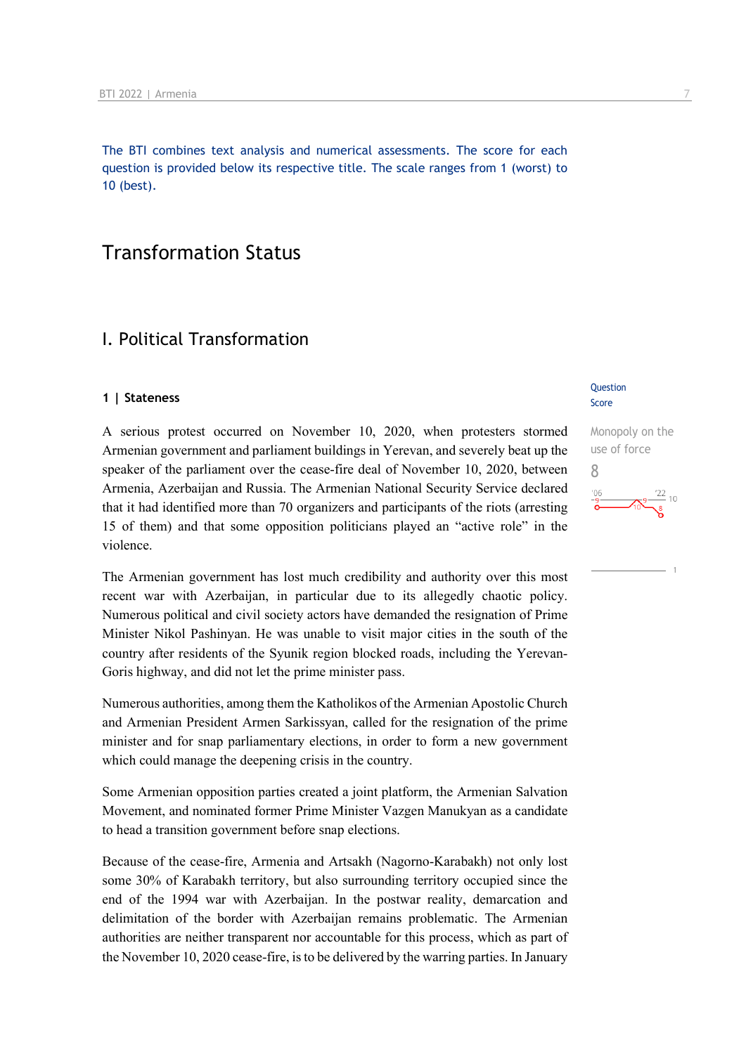The BTI combines text analysis and numerical assessments. The score for each question is provided below its respective title. The scale ranges from 1 (worst) to 10 (best).

## Transformation Status

## I. Political Transformation

#### **1 | Stateness**

A serious protest occurred on November 10, 2020, when protesters stormed Armenian government and parliament buildings in Yerevan, and severely beat up the speaker of the parliament over the cease-fire deal of November 10, 2020, between Armenia, Azerbaijan and Russia. The Armenian National Security Service declared that it had identified more than 70 organizers and participants of the riots (arresting 15 of them) and that some opposition politicians played an "active role" in the violence.

The Armenian government has lost much credibility and authority over this most recent war with Azerbaijan, in particular due to its allegedly chaotic policy. Numerous political and civil society actors have demanded the resignation of Prime Minister Nikol Pashinyan. He was unable to visit major cities in the south of the country after residents of the Syunik region blocked roads, including the Yerevan-Goris highway, and did not let the prime minister pass.

Numerous authorities, among them the Katholikos of the Armenian Apostolic Church and Armenian President Armen Sarkissyan, called for the resignation of the prime minister and for snap parliamentary elections, in order to form a new government which could manage the deepening crisis in the country.

Some Armenian opposition parties created a joint platform, the Armenian Salvation Movement, and nominated former Prime Minister Vazgen Manukyan as a candidate to head a transition government before snap elections.

Because of the cease-fire, Armenia and Artsakh (Nagorno-Karabakh) not only lost some 30% of Karabakh territory, but also surrounding territory occupied since the end of the 1994 war with Azerbaijan. In the postwar reality, demarcation and delimitation of the border with Azerbaijan remains problematic. The Armenian authorities are neither transparent nor accountable for this process, which as part of the November 10, 2020 cease-fire, is to be delivered by the warring parties. In January

#### **Question** Score

Monopoly on the use of force 8 $\frac{122}{10}$  10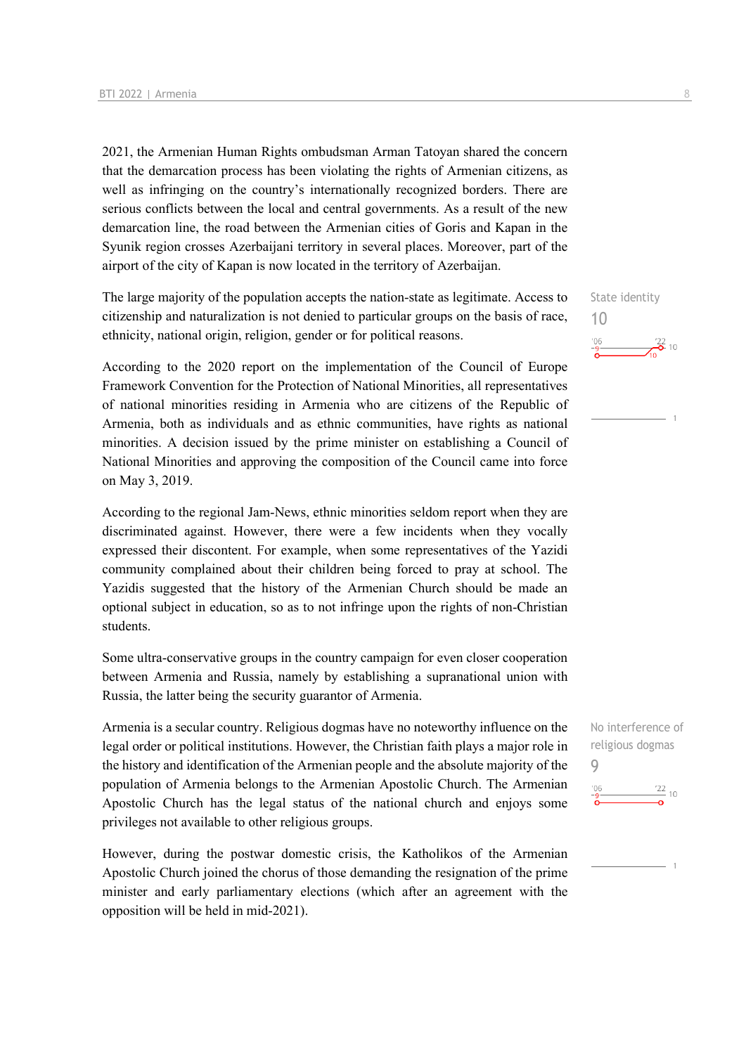2021, the Armenian Human Rights ombudsman Arman Tatoyan shared the concern that the demarcation process has been violating the rights of Armenian citizens, as well as infringing on the country's internationally recognized borders. There are serious conflicts between the local and central governments. As a result of the new demarcation line, the road between the Armenian cities of Goris and Kapan in the Syunik region crosses Azerbaijani territory in several places. Moreover, part of the airport of the city of Kapan is now located in the territory of Azerbaijan.

The large majority of the population accepts the nation-state as legitimate. Access to citizenship and naturalization is not denied to particular groups on the basis of race, ethnicity, national origin, religion, gender or for political reasons.

According to the 2020 report on the implementation of the Council of Europe Framework Convention for the Protection of National Minorities, all representatives of national minorities residing in Armenia who are citizens of the Republic of Armenia, both as individuals and as ethnic communities, have rights as national minorities. A decision issued by the prime minister on establishing a Council of National Minorities and approving the composition of the Council came into force on May 3, 2019.

According to the regional Jam-News, ethnic minorities seldom report when they are discriminated against. However, there were a few incidents when they vocally expressed their discontent. For example, when some representatives of the Yazidi community complained about their children being forced to pray at school. The Yazidis suggested that the history of the Armenian Church should be made an optional subject in education, so as to not infringe upon the rights of non-Christian students.

Some ultra-conservative groups in the country campaign for even closer cooperation between Armenia and Russia, namely by establishing a supranational union with Russia, the latter being the security guarantor of Armenia.

Armenia is a secular country. Religious dogmas have no noteworthy influence on the legal order or political institutions. However, the Christian faith plays a major role in the history and identification of the Armenian people and the absolute majority of the population of Armenia belongs to the Armenian Apostolic Church. The Armenian Apostolic Church has the legal status of the national church and enjoys some privileges not available to other religious groups.

However, during the postwar domestic crisis, the Katholikos of the Armenian Apostolic Church joined the chorus of those demanding the resignation of the prime minister and early parliamentary elections (which after an agreement with the opposition will be held in mid-2021).

State identity 10  $\frac{22}{2}$  10

No interference of religious dogmas 9 $\frac{22}{10}$  $-06$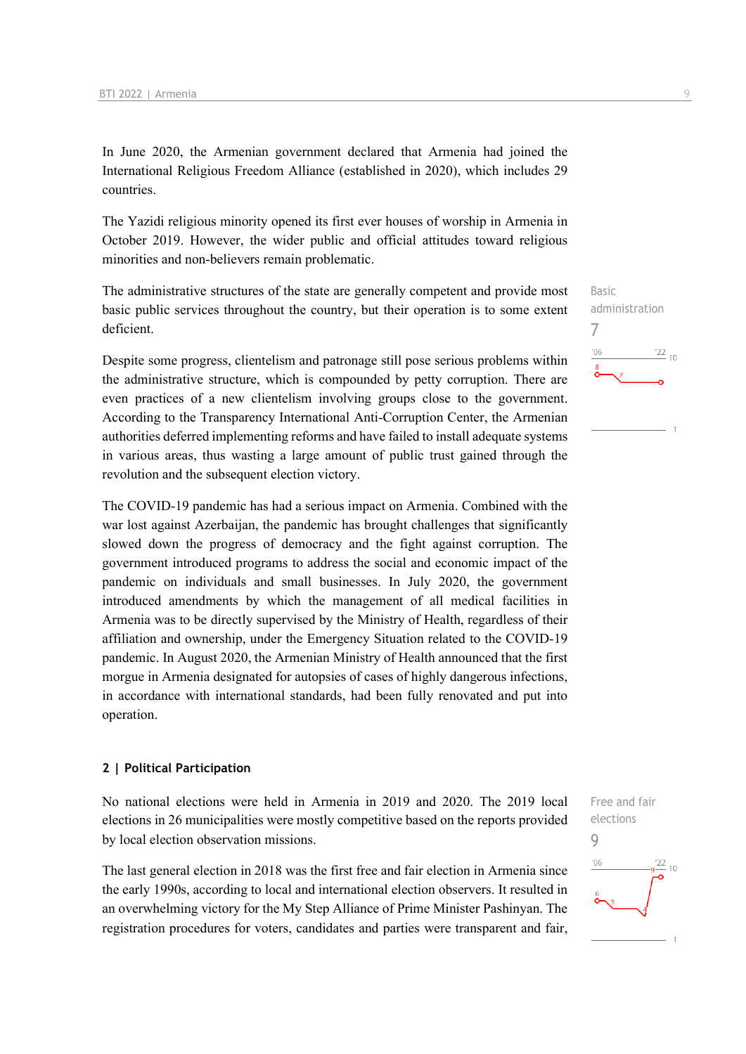In June 2020, the Armenian government declared that Armenia had joined the International Religious Freedom Alliance (established in 2020), which includes 29 countries.

The Yazidi religious minority opened its first ever houses of worship in Armenia in October 2019. However, the wider public and official attitudes toward religious minorities and non-believers remain problematic.

The administrative structures of the state are generally competent and provide most basic public services throughout the country, but their operation is to some extent deficient.

Despite some progress, clientelism and patronage still pose serious problems within the administrative structure, which is compounded by petty corruption. There are even practices of a new clientelism involving groups close to the government. According to the Transparency International Anti-Corruption Center, the Armenian authorities deferred implementing reforms and have failed to install adequate systems in various areas, thus wasting a large amount of public trust gained through the revolution and the subsequent election victory.

The COVID-19 pandemic has had a serious impact on Armenia. Combined with the war lost against Azerbaijan, the pandemic has brought challenges that significantly slowed down the progress of democracy and the fight against corruption. The government introduced programs to address the social and economic impact of the pandemic on individuals and small businesses. In July 2020, the government introduced amendments by which the management of all medical facilities in Armenia was to be directly supervised by the Ministry of Health, regardless of their affiliation and ownership, under the Emergency Situation related to the COVID-19 pandemic. In August 2020, the Armenian Ministry of Health announced that the first morgue in Armenia designated for autopsies of cases of highly dangerous infections, in accordance with international standards, had been fully renovated and put into operation.

#### **2 | Political Participation**

No national elections were held in Armenia in 2019 and 2020. The 2019 local elections in 26 municipalities were mostly competitive based on the reports provided by local election observation missions.

The last general election in 2018 was the first free and fair election in Armenia since the early 1990s, according to local and international election observers. It resulted in an overwhelming victory for the My Step Alliance of Prime Minister Pashinyan. The registration procedures for voters, candidates and parties were transparent and fair,



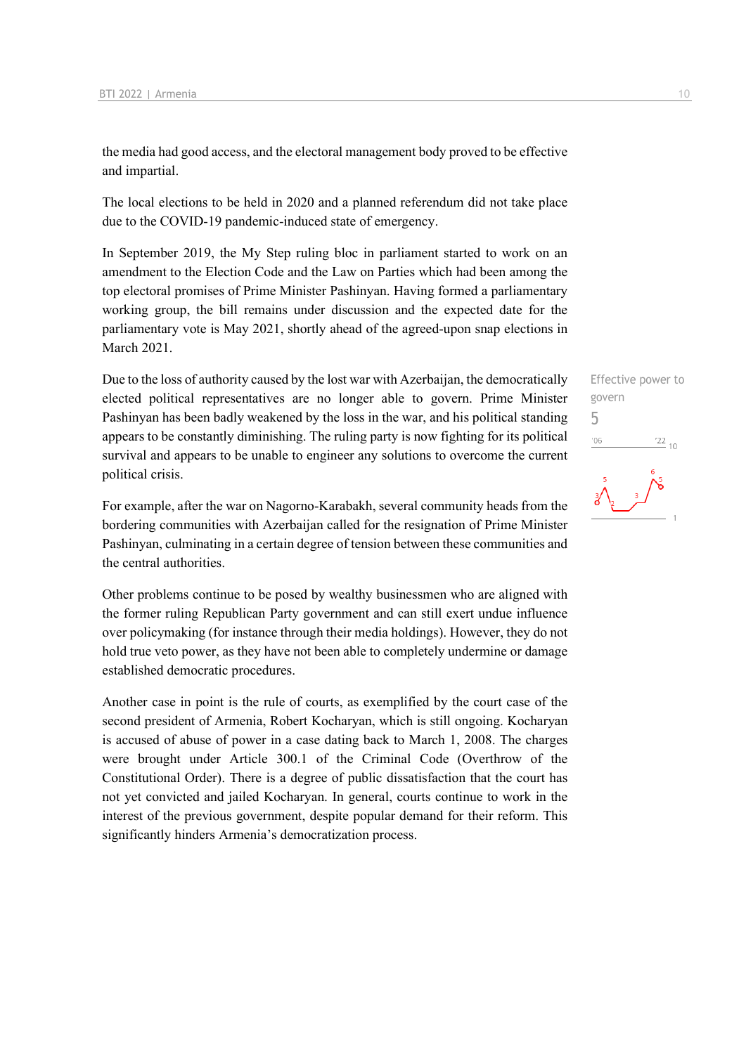the media had good access, and the electoral management body proved to be effective and impartial.

The local elections to be held in 2020 and a planned referendum did not take place due to the COVID-19 pandemic-induced state of emergency.

In September 2019, the My Step ruling bloc in parliament started to work on an amendment to the Election Code and the Law on Parties which had been among the top electoral promises of Prime Minister Pashinyan. Having formed a parliamentary working group, the bill remains under discussion and the expected date for the parliamentary vote is May 2021, shortly ahead of the agreed-upon snap elections in March 2021.

Due to the loss of authority caused by the lost war with Azerbaijan, the democratically elected political representatives are no longer able to govern. Prime Minister Pashinyan has been badly weakened by the loss in the war, and his political standing appears to be constantly diminishing. The ruling party is now fighting for its political survival and appears to be unable to engineer any solutions to overcome the current political crisis.

For example, after the war on Nagorno-Karabakh, several community heads from the bordering communities with Azerbaijan called for the resignation of Prime Minister Pashinyan, culminating in a certain degree of tension between these communities and the central authorities.

Other problems continue to be posed by wealthy businessmen who are aligned with the former ruling Republican Party government and can still exert undue influence over policymaking (for instance through their media holdings). However, they do not hold true veto power, as they have not been able to completely undermine or damage established democratic procedures.

Another case in point is the rule of courts, as exemplified by the court case of the second president of Armenia, Robert Kocharyan, which is still ongoing. Kocharyan is accused of abuse of power in a case dating back to March 1, 2008. The charges were brought under Article 300.1 of the Criminal Code (Overthrow of the Constitutional Order). There is a degree of public dissatisfaction that the court has not yet convicted and jailed Kocharyan. In general, courts continue to work in the interest of the previous government, despite popular demand for their reform. This significantly hinders Armenia's democratization process.

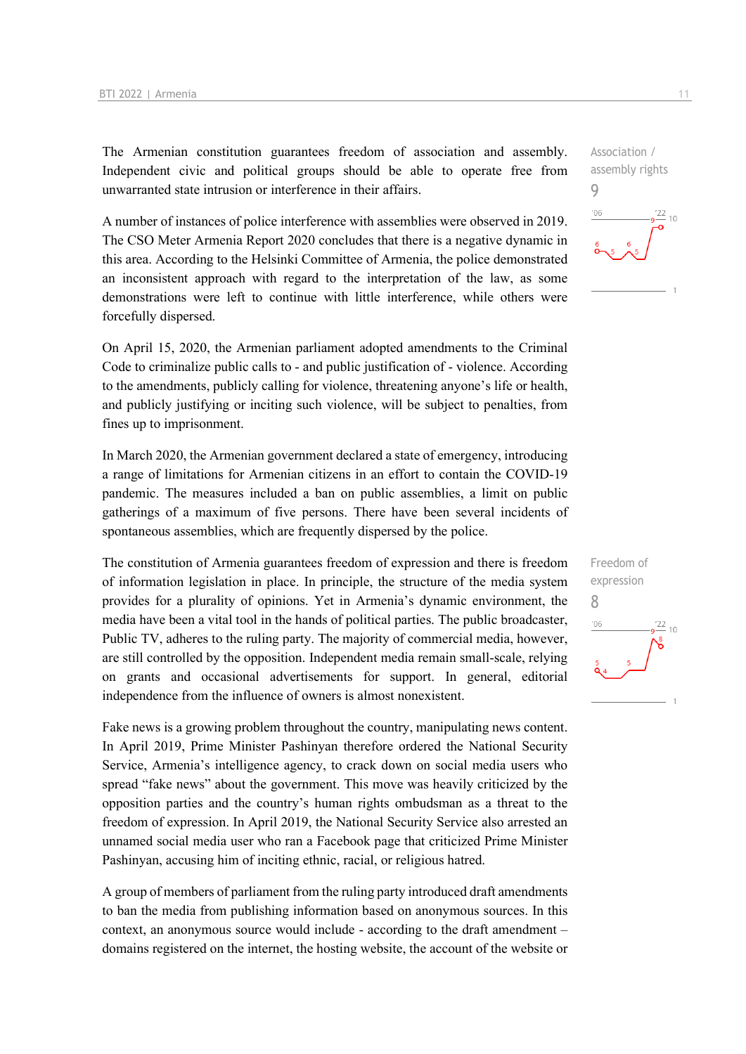The Armenian constitution guarantees freedom of association and assembly. Independent civic and political groups should be able to operate free from unwarranted state intrusion or interference in their affairs.

A number of instances of police interference with assemblies were observed in 2019. The CSO Meter Armenia Report 2020 concludes that there is a negative dynamic in this area. According to the Helsinki Committee of Armenia, the police demonstrated an inconsistent approach with regard to the interpretation of the law, as some demonstrations were left to continue with little interference, while others were forcefully dispersed.

On April 15, 2020, the Armenian parliament adopted amendments to the Criminal Code to criminalize public calls to - and public justification of - violence. According to the amendments, publicly calling for violence, threatening anyone's life or health, and publicly justifying or inciting such violence, will be subject to penalties, from fines up to imprisonment.

In March 2020, the Armenian government declared a state of emergency, introducing a range of limitations for Armenian citizens in an effort to contain the COVID-19 pandemic. The measures included a ban on public assemblies, a limit on public gatherings of a maximum of five persons. There have been several incidents of spontaneous assemblies, which are frequently dispersed by the police.

The constitution of Armenia guarantees freedom of expression and there is freedom of information legislation in place. In principle, the structure of the media system provides for a plurality of opinions. Yet in Armenia's dynamic environment, the media have been a vital tool in the hands of political parties. The public broadcaster, Public TV, adheres to the ruling party. The majority of commercial media, however, are still controlled by the opposition. Independent media remain small-scale, relying on grants and occasional advertisements for support. In general, editorial independence from the influence of owners is almost nonexistent.

Fake news is a growing problem throughout the country, manipulating news content. In April 2019, Prime Minister Pashinyan therefore ordered the National Security Service, Armenia's intelligence agency, to crack down on social media users who spread "fake news" about the government. This move was heavily criticized by the opposition parties and the country's human rights ombudsman as a threat to the freedom of expression. In April 2019, the National Security Service also arrested an unnamed social media user who ran a Facebook page that criticized Prime Minister Pashinyan, accusing him of inciting ethnic, racial, or religious hatred.

A group of members of parliament from the ruling party introduced draft amendments to ban the media from publishing information based on anonymous sources. In this context, an anonymous source would include - according to the draft amendment – domains registered on the internet, the hosting website, the account of the website or

Association / assembly rights 9  $-06$  $^{22}_{-10}$ 

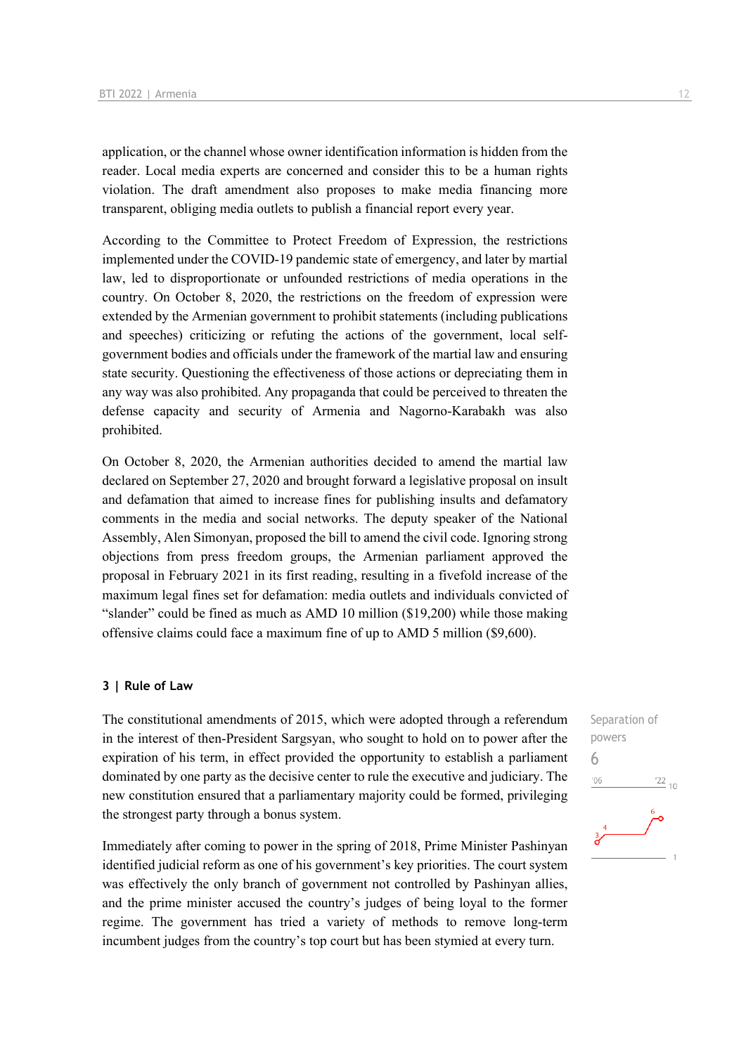application, or the channel whose owner identification information is hidden from the reader. Local media experts are concerned and consider this to be a human rights violation. The draft amendment also proposes to make media financing more transparent, obliging media outlets to publish a financial report every year.

According to the Committee to Protect Freedom of Expression, the restrictions implemented under the COVID-19 pandemic state of emergency, and later by martial law, led to disproportionate or unfounded restrictions of media operations in the country. On October 8, 2020, the restrictions on the freedom of expression were extended by the Armenian government to prohibit statements (including publications and speeches) criticizing or refuting the actions of the government, local selfgovernment bodies and officials under the framework of the martial law and ensuring state security. Questioning the effectiveness of those actions or depreciating them in any way was also prohibited. Any propaganda that could be perceived to threaten the defense capacity and security of Armenia and Nagorno-Karabakh was also prohibited.

On October 8, 2020, the Armenian authorities decided to amend the martial law declared on September 27, 2020 and brought forward a legislative proposal on insult and defamation that aimed to increase fines for publishing insults and defamatory comments in the media and social networks. The deputy speaker of the National Assembly, Alen Simonyan, proposed the bill to amend the civil code. Ignoring strong objections from press freedom groups, the Armenian parliament approved the proposal in February 2021 in its first reading, resulting in a fivefold increase of the maximum legal fines set for defamation: media outlets and individuals convicted of "slander" could be fined as much as AMD 10 million (\$19,200) while those making offensive claims could face a maximum fine of up to AMD 5 million (\$9,600).

#### **3 | Rule of Law**

The constitutional amendments of 2015, which were adopted through a referendum in the interest of then-President Sargsyan, who sought to hold on to power after the expiration of his term, in effect provided the opportunity to establish a parliament dominated by one party as the decisive center to rule the executive and judiciary. The new constitution ensured that a parliamentary majority could be formed, privileging the strongest party through a bonus system.

Immediately after coming to power in the spring of 2018, Prime Minister Pashinyan identified judicial reform as one of his government's key priorities. The court system was effectively the only branch of government not controlled by Pashinyan allies, and the prime minister accused the country's judges of being loyal to the former regime. The government has tried a variety of methods to remove long-term incumbent judges from the country's top court but has been stymied at every turn.

Separation of powers 6 $-06$  $\frac{22}{10}$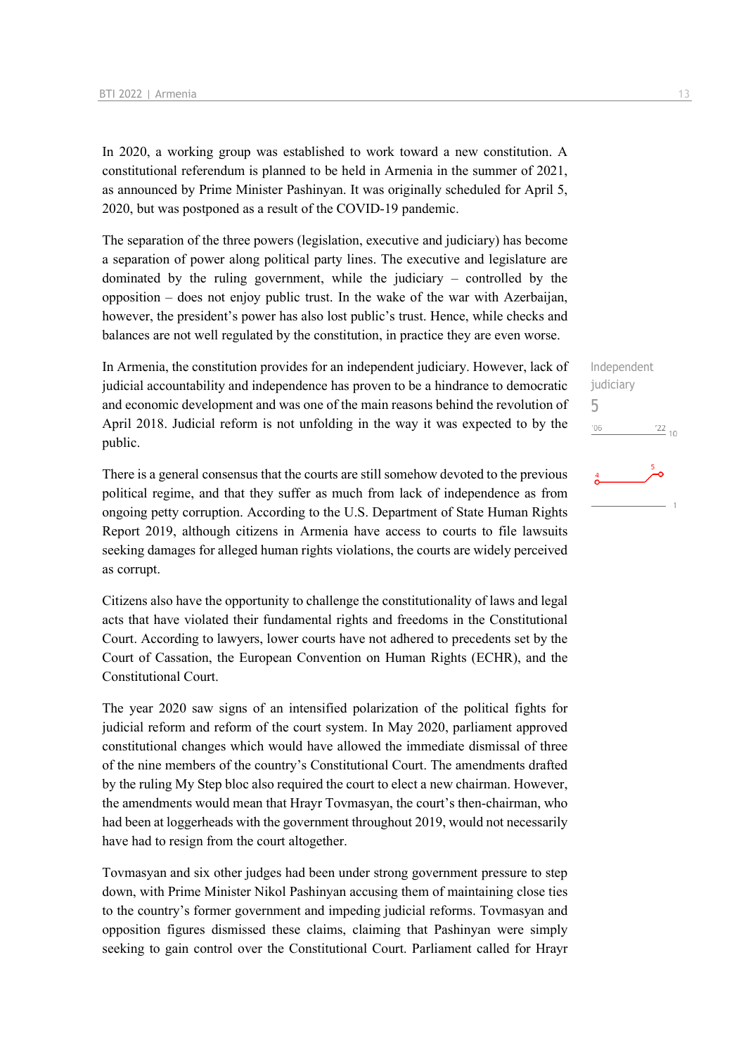In 2020, a working group was established to work toward a new constitution. A constitutional referendum is planned to be held in Armenia in the summer of 2021, as announced by Prime Minister Pashinyan. It was originally scheduled for April 5, 2020, but was postponed as a result of the COVID-19 pandemic.

The separation of the three powers (legislation, executive and judiciary) has become a separation of power along political party lines. The executive and legislature are dominated by the ruling government, while the judiciary – controlled by the opposition – does not enjoy public trust. In the wake of the war with Azerbaijan, however, the president's power has also lost public's trust. Hence, while checks and balances are not well regulated by the constitution, in practice they are even worse.

In Armenia, the constitution provides for an independent judiciary. However, lack of judicial accountability and independence has proven to be a hindrance to democratic and economic development and was one of the main reasons behind the revolution of April 2018. Judicial reform is not unfolding in the way it was expected to by the public.

There is a general consensus that the courts are still somehow devoted to the previous political regime, and that they suffer as much from lack of independence as from ongoing petty corruption. According to the U.S. Department of State Human Rights Report 2019, although citizens in Armenia have access to courts to file lawsuits seeking damages for alleged human rights violations, the courts are widely perceived as corrupt.

Citizens also have the opportunity to challenge the constitutionality of laws and legal acts that have violated their fundamental rights and freedoms in the Constitutional Court. According to lawyers, lower courts have not adhered to precedents set by the Court of Cassation, the European Convention on Human Rights (ECHR), and the Constitutional Court.

The year 2020 saw signs of an intensified polarization of the political fights for judicial reform and reform of the court system. In May 2020, parliament approved constitutional changes which would have allowed the immediate dismissal of three of the nine members of the country's Constitutional Court. The amendments drafted by the ruling My Step bloc also required the court to elect a new chairman. However, the amendments would mean that Hrayr Tovmasyan, the court's then-chairman, who had been at loggerheads with the government throughout 2019, would not necessarily have had to resign from the court altogether.

Tovmasyan and six other judges had been under strong government pressure to step down, with Prime Minister Nikol Pashinyan accusing them of maintaining close ties to the country's former government and impeding judicial reforms. Tovmasyan and opposition figures dismissed these claims, claiming that Pashinyan were simply seeking to gain control over the Constitutional Court. Parliament called for Hrayr Independent judiciary 5 $^{\prime}06$  $\frac{22}{10}$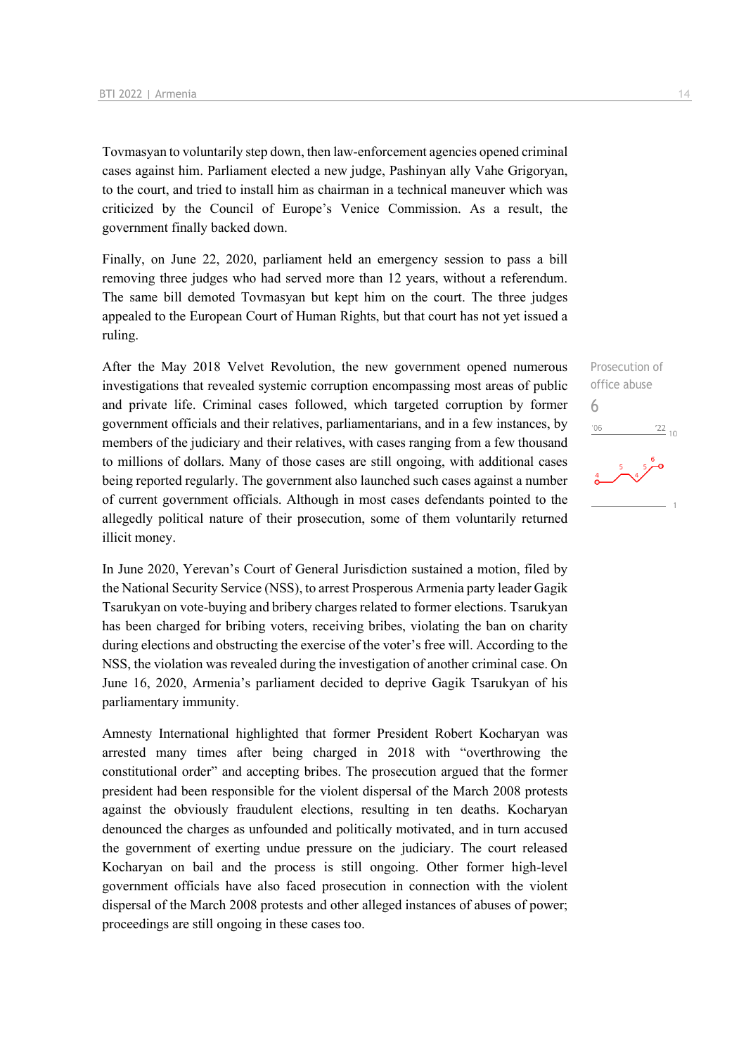Tovmasyan to voluntarily step down, then law-enforcement agencies opened criminal cases against him. Parliament elected a new judge, Pashinyan ally Vahe Grigoryan, to the court, and tried to install him as chairman in a technical maneuver which was criticized by the Council of Europe's Venice Commission. As a result, the government finally backed down.

Finally, on June 22, 2020, parliament held an emergency session to pass a bill removing three judges who had served more than 12 years, without a referendum. The same bill demoted Tovmasyan but kept him on the court. The three judges appealed to the European Court of Human Rights, but that court has not yet issued a ruling.

After the May 2018 Velvet Revolution, the new government opened numerous investigations that revealed systemic corruption encompassing most areas of public and private life. Criminal cases followed, which targeted corruption by former government officials and their relatives, parliamentarians, and in a few instances, by members of the judiciary and their relatives, with cases ranging from a few thousand to millions of dollars. Many of those cases are still ongoing, with additional cases being reported regularly. The government also launched such cases against a number of current government officials. Although in most cases defendants pointed to the allegedly political nature of their prosecution, some of them voluntarily returned illicit money.

In June 2020, Yerevan's Court of General Jurisdiction sustained a motion, filed by the National Security Service (NSS), to arrest Prosperous Armenia party leader Gagik Tsarukyan on vote-buying and bribery charges related to former elections. Tsarukyan has been charged for bribing voters, receiving bribes, violating the ban on charity during elections and obstructing the exercise of the voter's free will. According to the NSS, the violation was revealed during the investigation of another criminal case. On June 16, 2020, Armenia's parliament decided to deprive Gagik Tsarukyan of his parliamentary immunity.

Amnesty International highlighted that former President Robert Kocharyan was arrested many times after being charged in 2018 with "overthrowing the constitutional order" and accepting bribes. The prosecution argued that the former president had been responsible for the violent dispersal of the March 2008 protests against the obviously fraudulent elections, resulting in ten deaths. Kocharyan denounced the charges as unfounded and politically motivated, and in turn accused the government of exerting undue pressure on the judiciary. The court released Kocharyan on bail and the process is still ongoing. Other former high-level government officials have also faced prosecution in connection with the violent dispersal of the March 2008 protests and other alleged instances of abuses of power; proceedings are still ongoing in these cases too.

Prosecution of office abuse 6 $^{\prime}06$  $\frac{22}{10}$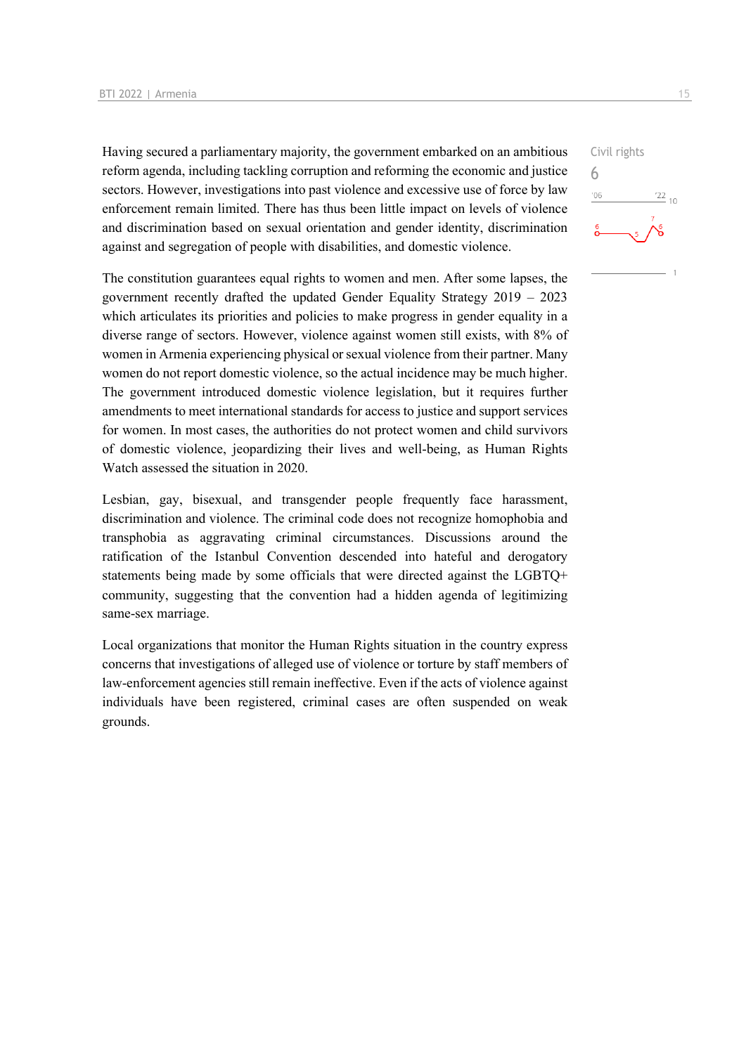Having secured a parliamentary majority, the government embarked on an ambitious reform agenda, including tackling corruption and reforming the economic and justice sectors. However, investigations into past violence and excessive use of force by law enforcement remain limited. There has thus been little impact on levels of violence and discrimination based on sexual orientation and gender identity, discrimination against and segregation of people with disabilities, and domestic violence.

The constitution guarantees equal rights to women and men. After some lapses, the government recently drafted the updated Gender Equality Strategy 2019 – 2023 which articulates its priorities and policies to make progress in gender equality in a diverse range of sectors. However, violence against women still exists, with 8% of women in Armenia experiencing physical or sexual violence from their partner. Many women do not report domestic violence, so the actual incidence may be much higher. The government introduced domestic violence legislation, but it requires further amendments to meet international standards for access to justice and support services for women. In most cases, the authorities do not protect women and child survivors of domestic violence, jeopardizing their lives and well-being, as Human Rights Watch assessed the situation in 2020.

Lesbian, gay, bisexual, and transgender people frequently face harassment, discrimination and violence. The criminal code does not recognize homophobia and transphobia as aggravating criminal circumstances. Discussions around the ratification of the Istanbul Convention descended into hateful and derogatory statements being made by some officials that were directed against the LGBTQ+ community, suggesting that the convention had a hidden agenda of legitimizing same-sex marriage.

Local organizations that monitor the Human Rights situation in the country express concerns that investigations of alleged use of violence or torture by staff members of law-enforcement agencies still remain ineffective. Even if the acts of violence against individuals have been registered, criminal cases are often suspended on weak grounds.

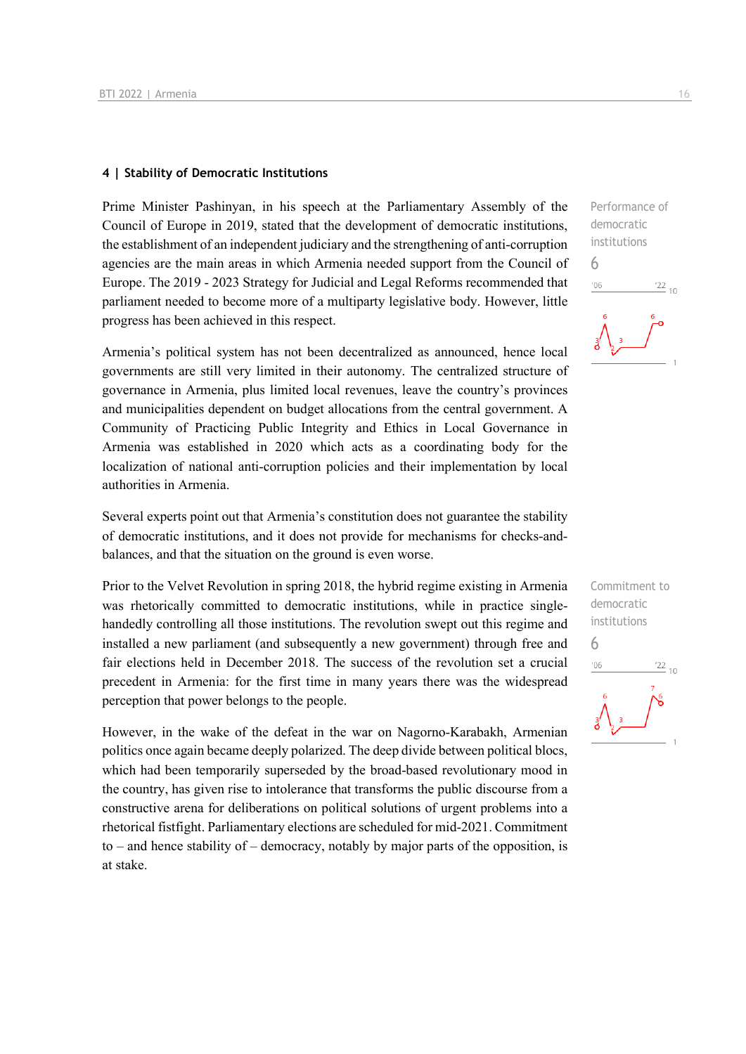#### **4 | Stability of Democratic Institutions**

Prime Minister Pashinyan, in his speech at the Parliamentary Assembly of the Council of Europe in 2019, stated that the development of democratic institutions, the establishment of an independent judiciary and the strengthening of anti-corruption agencies are the main areas in which Armenia needed support from the Council of Europe. The 2019 - 2023 Strategy for Judicial and Legal Reforms recommended that parliament needed to become more of a multiparty legislative body. However, little progress has been achieved in this respect.

Armenia's political system has not been decentralized as announced, hence local governments are still very limited in their autonomy. The centralized structure of governance in Armenia, plus limited local revenues, leave the country's provinces and municipalities dependent on budget allocations from the central government. A Community of Practicing Public Integrity and Ethics in Local Governance in Armenia was established in 2020 which acts as a coordinating body for the localization of national anti-corruption policies and their implementation by local authorities in Armenia.

Several experts point out that Armenia's constitution does not guarantee the stability of democratic institutions, and it does not provide for mechanisms for checks-andbalances, and that the situation on the ground is even worse.

Prior to the Velvet Revolution in spring 2018, the hybrid regime existing in Armenia was rhetorically committed to democratic institutions, while in practice singlehandedly controlling all those institutions. The revolution swept out this regime and installed a new parliament (and subsequently a new government) through free and fair elections held in December 2018. The success of the revolution set a crucial precedent in Armenia: for the first time in many years there was the widespread perception that power belongs to the people.

However, in the wake of the defeat in the war on Nagorno-Karabakh, Armenian politics once again became deeply polarized. The deep divide between political blocs, which had been temporarily superseded by the broad-based revolutionary mood in the country, has given rise to intolerance that transforms the public discourse from a constructive arena for deliberations on political solutions of urgent problems into a rhetorical fistfight. Parliamentary elections are scheduled for mid-2021. Commitment to – and hence stability of – democracy, notably by major parts of the opposition, is at stake.

Performance of democratic institutions 6  $\frac{22}{10}$  $06'$ 

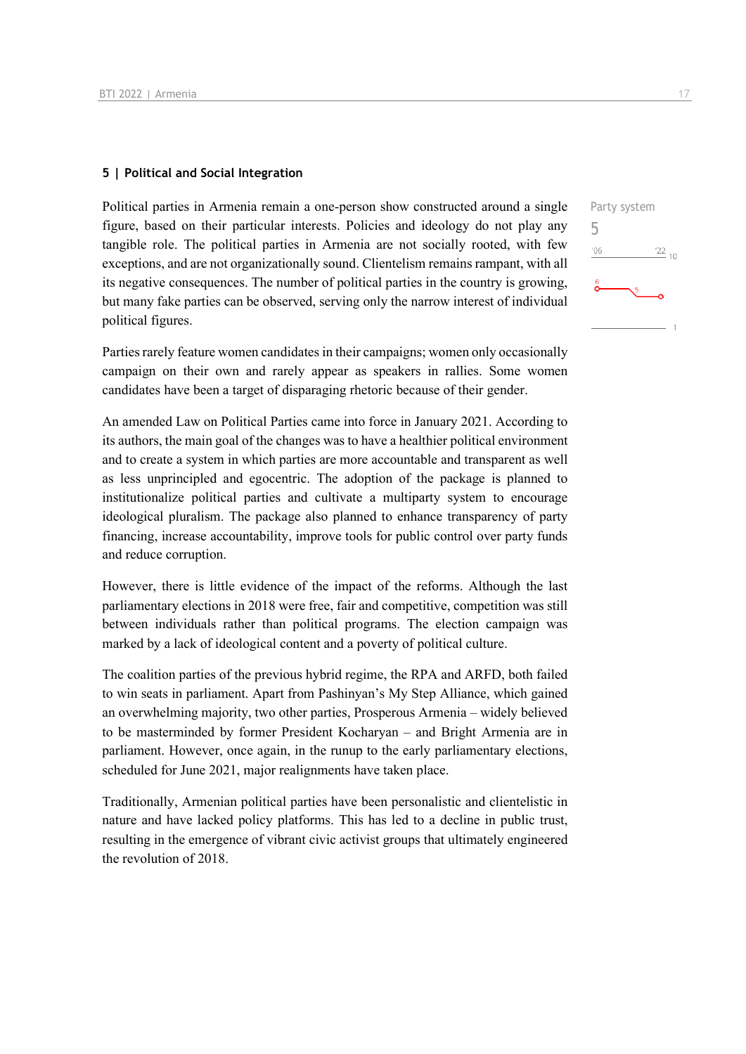#### **5 | Political and Social Integration**

Political parties in Armenia remain a one-person show constructed around a single figure, based on their particular interests. Policies and ideology do not play any tangible role. The political parties in Armenia are not socially rooted, with few exceptions, and are not organizationally sound. Clientelism remains rampant, with all its negative consequences. The number of political parties in the country is growing, but many fake parties can be observed, serving only the narrow interest of individual political figures.

Parties rarely feature women candidates in their campaigns; women only occasionally campaign on their own and rarely appear as speakers in rallies. Some women candidates have been a target of disparaging rhetoric because of their gender.

An amended Law on Political Parties came into force in January 2021. According to its authors, the main goal of the changes was to have a healthier political environment and to create a system in which parties are more accountable and transparent as well as less unprincipled and egocentric. The adoption of the package is planned to institutionalize political parties and cultivate a multiparty system to encourage ideological pluralism. The package also planned to enhance transparency of party financing, increase accountability, improve tools for public control over party funds and reduce corruption.

However, there is little evidence of the impact of the reforms. Although the last parliamentary elections in 2018 were free, fair and competitive, competition was still between individuals rather than political programs. The election campaign was marked by a lack of ideological content and a poverty of political culture.

The coalition parties of the previous hybrid regime, the RPA and ARFD, both failed to win seats in parliament. Apart from Pashinyan's My Step Alliance, which gained an overwhelming majority, two other parties, Prosperous Armenia – widely believed to be masterminded by former President Kocharyan – and Bright Armenia are in parliament. However, once again, in the runup to the early parliamentary elections, scheduled for June 2021, major realignments have taken place.

Traditionally, Armenian political parties have been personalistic and clientelistic in nature and have lacked policy platforms. This has led to a decline in public trust, resulting in the emergence of vibrant civic activist groups that ultimately engineered the revolution of 2018.

| Party system<br>5 |    |                 |
|-------------------|----|-----------------|
| '06               |    | $\frac{22}{10}$ |
| 6                 | ,5 |                 |
|                   |    |                 |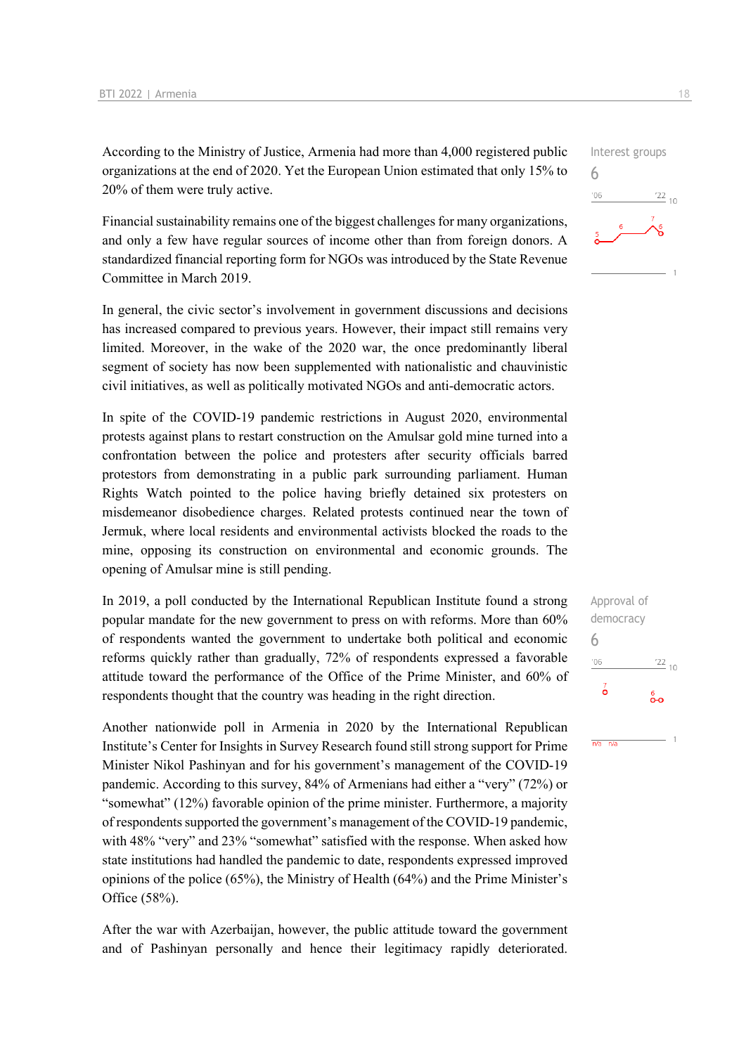According to the Ministry of Justice, Armenia had more than 4,000 registered public organizations at the end of 2020. Yet the European Union estimated that only 15% to 20% of them were truly active.

Financial sustainability remains one of the biggest challenges for many organizations, and only a few have regular sources of income other than from foreign donors. A standardized financial reporting form for NGOs was introduced by the State Revenue Committee in March 2019.

In general, the civic sector's involvement in government discussions and decisions has increased compared to previous years. However, their impact still remains very limited. Moreover, in the wake of the 2020 war, the once predominantly liberal segment of society has now been supplemented with nationalistic and chauvinistic civil initiatives, as well as politically motivated NGOs and anti-democratic actors.

In spite of the COVID-19 pandemic restrictions in August 2020, environmental protests against plans to restart construction on the Amulsar gold mine turned into a confrontation between the police and protesters after security officials barred protestors from demonstrating in a public park surrounding parliament. Human Rights Watch pointed to the police having briefly detained six protesters on misdemeanor disobedience charges. Related protests continued near the town of Jermuk, where local residents and environmental activists blocked the roads to the mine, opposing its construction on environmental and economic grounds. The opening of Amulsar mine is still pending.

In 2019, a poll conducted by the International Republican Institute found a strong popular mandate for the new government to press on with reforms. More than 60% of respondents wanted the government to undertake both political and economic reforms quickly rather than gradually, 72% of respondents expressed a favorable attitude toward the performance of the Office of the Prime Minister, and 60% of respondents thought that the country was heading in the right direction.

Another nationwide poll in Armenia in 2020 by the International Republican Institute's Center for Insights in Survey Research found still strong support for Prime Minister Nikol Pashinyan and for his government's management of the COVID-19 pandemic. According to this survey, 84% of Armenians had either a "very" (72%) or "somewhat" (12%) favorable opinion of the prime minister. Furthermore, a majority of respondents supported the government's management of the COVID-19 pandemic, with 48% "very" and 23% "somewhat" satisfied with the response. When asked how state institutions had handled the pandemic to date, respondents expressed improved opinions of the police (65%), the Ministry of Health (64%) and the Prime Minister's Office (58%).

After the war with Azerbaijan, however, the public attitude toward the government and of Pashinyan personally and hence their legitimacy rapidly deteriorated.





 $n/a$   $n/a$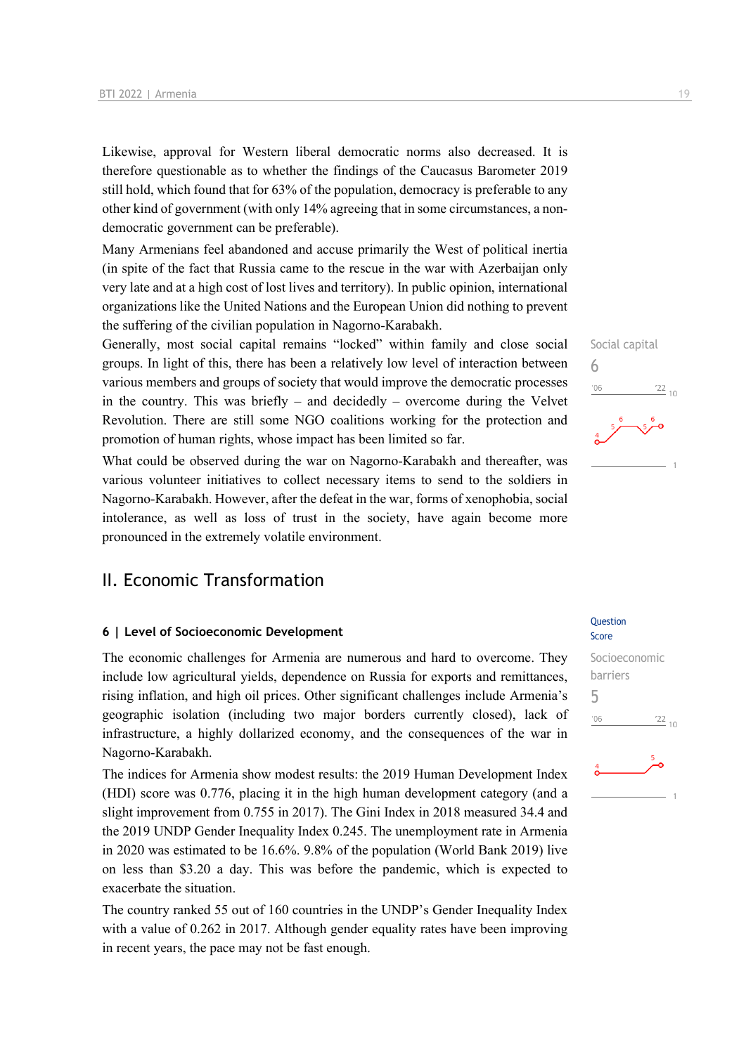Likewise, approval for Western liberal democratic norms also decreased. It is therefore questionable as to whether the findings of the Caucasus Barometer 2019 still hold, which found that for 63% of the population, democracy is preferable to any other kind of government (with only 14% agreeing that in some circumstances, a nondemocratic government can be preferable).

Many Armenians feel abandoned and accuse primarily the West of political inertia (in spite of the fact that Russia came to the rescue in the war with Azerbaijan only very late and at a high cost of lost lives and territory). In public opinion, international organizations like the United Nations and the European Union did nothing to prevent the suffering of the civilian population in Nagorno-Karabakh.

Generally, most social capital remains "locked" within family and close social groups. In light of this, there has been a relatively low level of interaction between various members and groups of society that would improve the democratic processes in the country. This was briefly – and decidedly – overcome during the Velvet Revolution. There are still some NGO coalitions working for the protection and promotion of human rights, whose impact has been limited so far.

What could be observed during the war on Nagorno-Karabakh and thereafter, was various volunteer initiatives to collect necessary items to send to the soldiers in Nagorno-Karabakh. However, after the defeat in the war, forms of xenophobia, social intolerance, as well as loss of trust in the society, have again become more pronounced in the extremely volatile environment.

### II. Economic Transformation

#### **6 | Level of Socioeconomic Development**

The economic challenges for Armenia are numerous and hard to overcome. They include low agricultural yields, dependence on Russia for exports and remittances, rising inflation, and high oil prices. Other significant challenges include Armenia's geographic isolation (including two major borders currently closed), lack of infrastructure, a highly dollarized economy, and the consequences of the war in Nagorno-Karabakh.

The indices for Armenia show modest results: the 2019 Human Development Index (HDI) score was 0.776, placing it in the high human development category (and a slight improvement from 0.755 in 2017). The Gini Index in 2018 measured 34.4 and the 2019 UNDP Gender Inequality Index 0.245. The unemployment rate in Armenia in 2020 was estimated to be 16.6%. 9.8% of the population (World Bank 2019) live on less than \$3.20 a day. This was before the pandemic, which is expected to exacerbate the situation.

The country ranked 55 out of 160 countries in the UNDP's Gender Inequality Index with a value of 0.262 in 2017. Although gender equality rates have been improving in recent years, the pace may not be fast enough.

#### Question Score

Social capital

 $\frac{22}{10}$ 

6

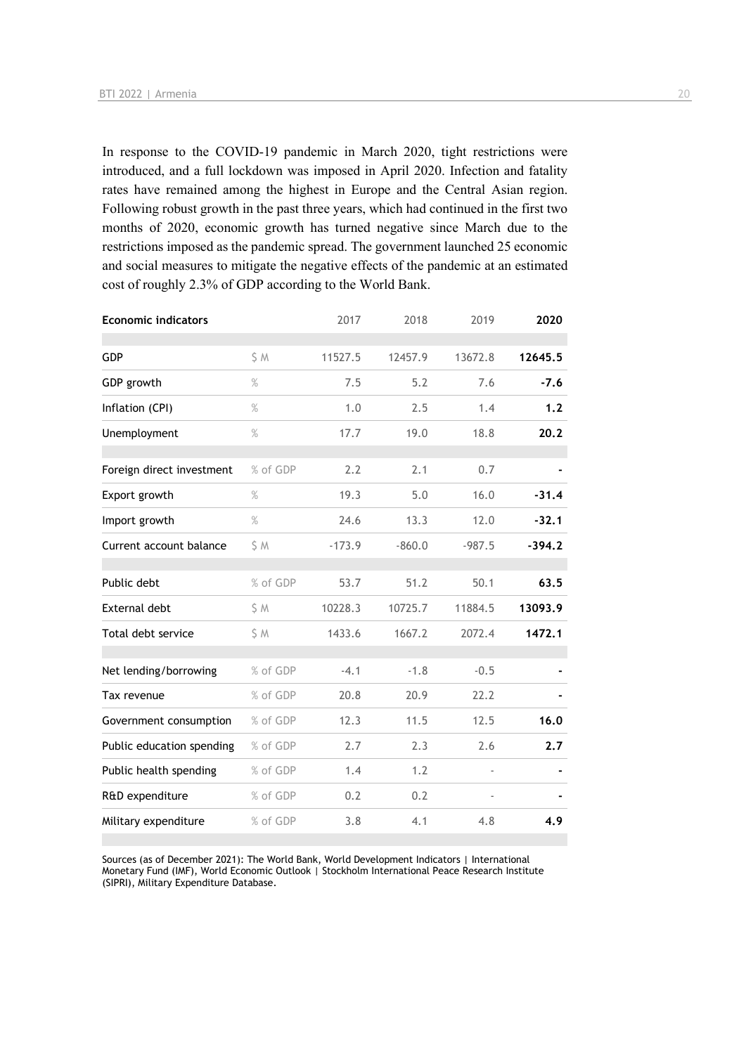In response to the COVID-19 pandemic in March 2020, tight restrictions were introduced, and a full lockdown was imposed in April 2020. Infection and fatality rates have remained among the highest in Europe and the Central Asian region. Following robust growth in the past three years, which had continued in the first two months of 2020, economic growth has turned negative since March due to the restrictions imposed as the pandemic spread. The government launched 25 economic and social measures to mitigate the negative effects of the pandemic at an estimated cost of roughly 2.3% of GDP according to the World Bank.

| <b>Economic indicators</b> |          | 2017     | 2018     | 2019     | 2020     |
|----------------------------|----------|----------|----------|----------|----------|
| GDP                        | S M      | 11527.5  | 12457.9  | 13672.8  | 12645.5  |
| GDP growth                 | $\%$     | 7.5      | 5.2      | 7.6      | $-7.6$   |
| Inflation (CPI)            | $\%$     | 1.0      | 2.5      | 1.4      | 1.2      |
| Unemployment               | $\%$     | 17.7     | 19.0     | 18.8     | 20.2     |
| Foreign direct investment  | % of GDP | 2.2      | 2.1      | 0.7      |          |
| Export growth              | $\%$     | 19.3     | 5.0      | 16.0     | $-31.4$  |
| Import growth              | $\%$     | 24.6     | 13.3     | 12.0     | $-32.1$  |
| Current account balance    | S M      | $-173.9$ | $-860.0$ | $-987.5$ | $-394.2$ |
| Public debt                | % of GDP | 53.7     | 51.2     | 50.1     | 63.5     |
| External debt              | S M      | 10228.3  | 10725.7  | 11884.5  | 13093.9  |
| Total debt service         | \$M      | 1433.6   | 1667.2   | 2072.4   | 1472.1   |
| Net lending/borrowing      | % of GDP | $-4.1$   | $-1.8$   | $-0.5$   |          |
| Tax revenue                | % of GDP | 20.8     | 20.9     | 22.2     |          |
| Government consumption     | % of GDP | 12.3     | 11.5     | 12.5     | 16.0     |
| Public education spending  | % of GDP | 2.7      | 2.3      | 2.6      | 2.7      |
| Public health spending     | % of GDP | 1.4      | 1.2      |          |          |
| R&D expenditure            | % of GDP | 0.2      | 0.2      |          |          |
| Military expenditure       | % of GDP | 3.8      | 4.1      | 4.8      | 4.9      |

Sources (as of December 2021): The World Bank, World Development Indicators | International Monetary Fund (IMF), World Economic Outlook | Stockholm International Peace Research Institute (SIPRI), Military Expenditure Database.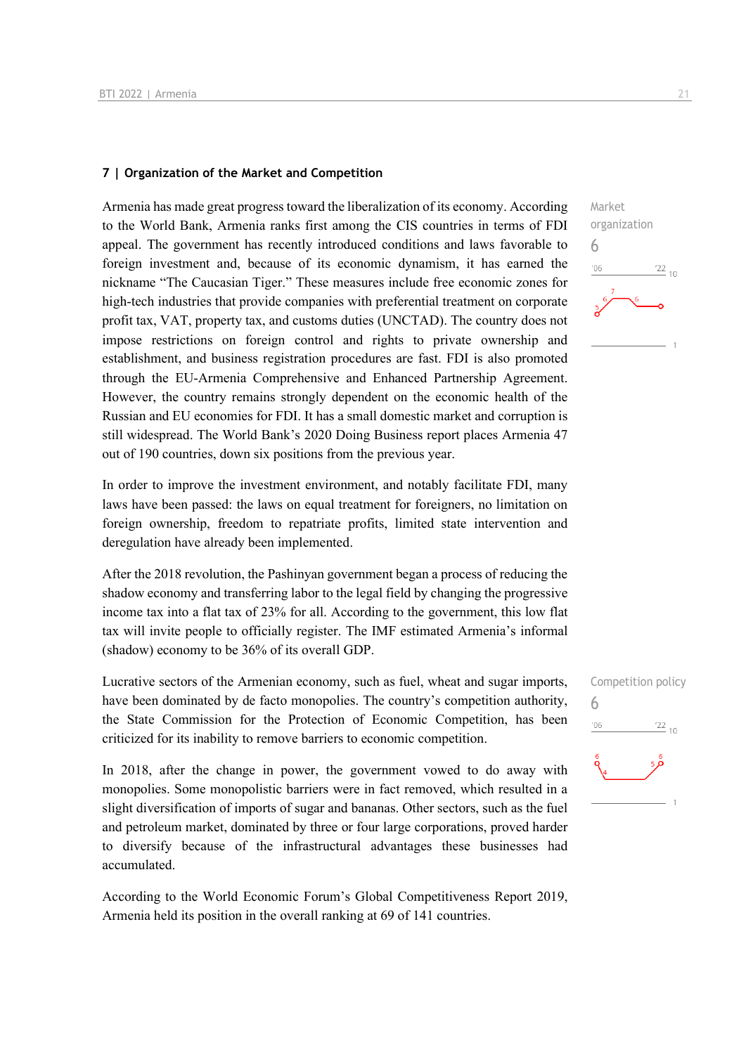#### **7 | Organization of the Market and Competition**

Armenia has made great progress toward the liberalization of its economy. According to the World Bank, Armenia ranks first among the CIS countries in terms of FDI appeal. The government has recently introduced conditions and laws favorable to foreign investment and, because of its economic dynamism, it has earned the nickname "The Caucasian Tiger." These measures include free economic zones for high-tech industries that provide companies with preferential treatment on corporate profit tax, VAT, property tax, and customs duties (UNCTAD). The country does not impose restrictions on foreign control and rights to private ownership and establishment, and business registration procedures are fast. FDI is also promoted through the EU-Armenia Comprehensive and Enhanced Partnership Agreement. However, the country remains strongly dependent on the economic health of the Russian and EU economies for FDI. It has a small domestic market and corruption is still widespread. The World Bank's 2020 Doing Business report places Armenia 47 out of 190 countries, down six positions from the previous year.

In order to improve the investment environment, and notably facilitate FDI, many laws have been passed: the laws on equal treatment for foreigners, no limitation on foreign ownership, freedom to repatriate profits, limited state intervention and deregulation have already been implemented.

After the 2018 revolution, the Pashinyan government began a process of reducing the shadow economy and transferring labor to the legal field by changing the progressive income tax into a flat tax of 23% for all. According to the government, this low flat tax will invite people to officially register. The IMF estimated Armenia's informal (shadow) economy to be 36% of its overall GDP.

Lucrative sectors of the Armenian economy, such as fuel, wheat and sugar imports, have been dominated by de facto monopolies. The country's competition authority, the State Commission for the Protection of Economic Competition, has been criticized for its inability to remove barriers to economic competition.

In 2018, after the change in power, the government vowed to do away with monopolies. Some monopolistic barriers were in fact removed, which resulted in a slight diversification of imports of sugar and bananas. Other sectors, such as the fuel and petroleum market, dominated by three or four large corporations, proved harder to diversify because of the infrastructural advantages these businesses had accumulated.

According to the World Economic Forum's Global Competitiveness Report 2019, Armenia held its position in the overall ranking at 69 of 141 countries.

6

 $06'$ 

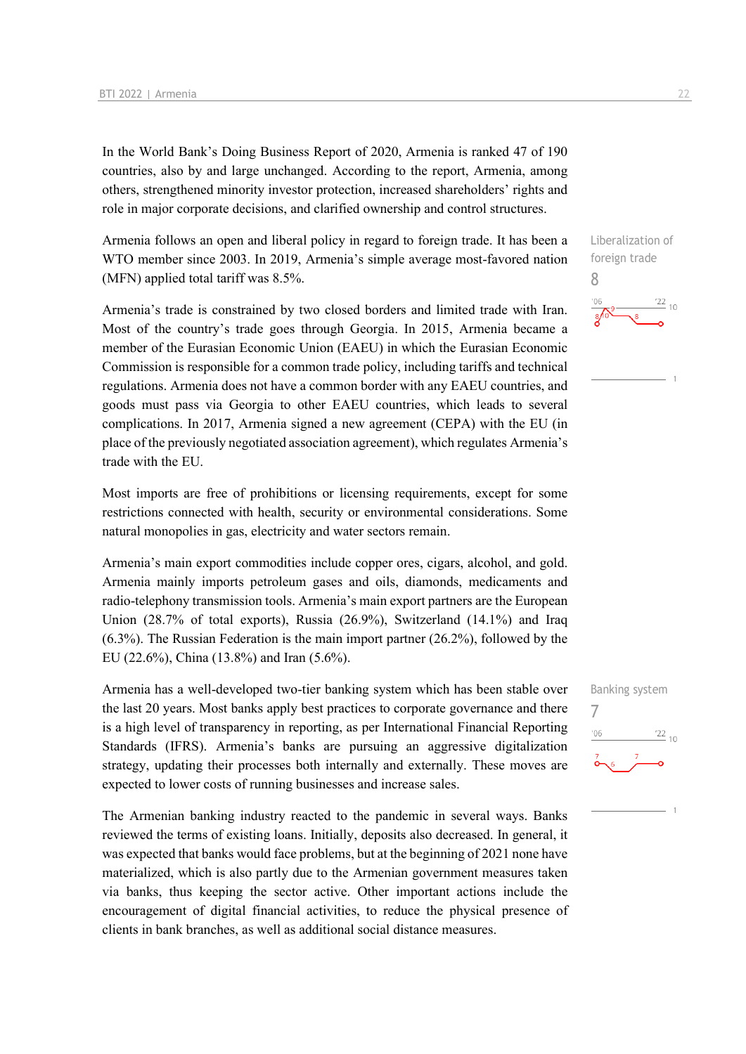In the World Bank's Doing Business Report of 2020, Armenia is ranked 47 of 190 countries, also by and large unchanged. According to the report, Armenia, among others, strengthened minority investor protection, increased shareholders' rights and role in major corporate decisions, and clarified ownership and control structures.

Armenia follows an open and liberal policy in regard to foreign trade. It has been a WTO member since 2003. In 2019, Armenia's simple average most-favored nation (MFN) applied total tariff was 8.5%.

Armenia's trade is constrained by two closed borders and limited trade with Iran. Most of the country's trade goes through Georgia. In 2015, Armenia became a member of the Eurasian Economic Union (EAEU) in which the Eurasian Economic Commission is responsible for a common trade policy, including tariffs and technical regulations. Armenia does not have a common border with any EAEU countries, and goods must pass via Georgia to other EAEU countries, which leads to several complications. In 2017, Armenia signed a new agreement (CEPA) with the EU (in place of the previously negotiated association agreement), which regulates Armenia's trade with the EU.

Most imports are free of prohibitions or licensing requirements, except for some restrictions connected with health, security or environmental considerations. Some natural monopolies in gas, electricity and water sectors remain.

Armenia's main export commodities include copper ores, cigars, alcohol, and gold. Armenia mainly imports petroleum gases and oils, diamonds, medicaments and radio-telephony transmission tools. Armenia's main export partners are the European Union (28.7% of total exports), Russia (26.9%), Switzerland (14.1%) and Iraq (6.3%). The Russian Federation is the main import partner (26.2%), followed by the EU (22.6%), China (13.8%) and Iran (5.6%).

Armenia has a well-developed two-tier banking system which has been stable over the last 20 years. Most banks apply best practices to corporate governance and there is a high level of transparency in reporting, as per International Financial Reporting Standards (IFRS). Armenia's banks are pursuing an aggressive digitalization strategy, updating their processes both internally and externally. These moves are expected to lower costs of running businesses and increase sales.

The Armenian banking industry reacted to the pandemic in several ways. Banks reviewed the terms of existing loans. Initially, deposits also decreased. In general, it was expected that banks would face problems, but at the beginning of 2021 none have materialized, which is also partly due to the Armenian government measures taken via banks, thus keeping the sector active. Other important actions include the encouragement of digital financial activities, to reduce the physical presence of clients in bank branches, as well as additional social distance measures.

Liberalization of foreign trade 8  $\frac{22}{10}$  $^{\prime}$ O $\epsilon$ 

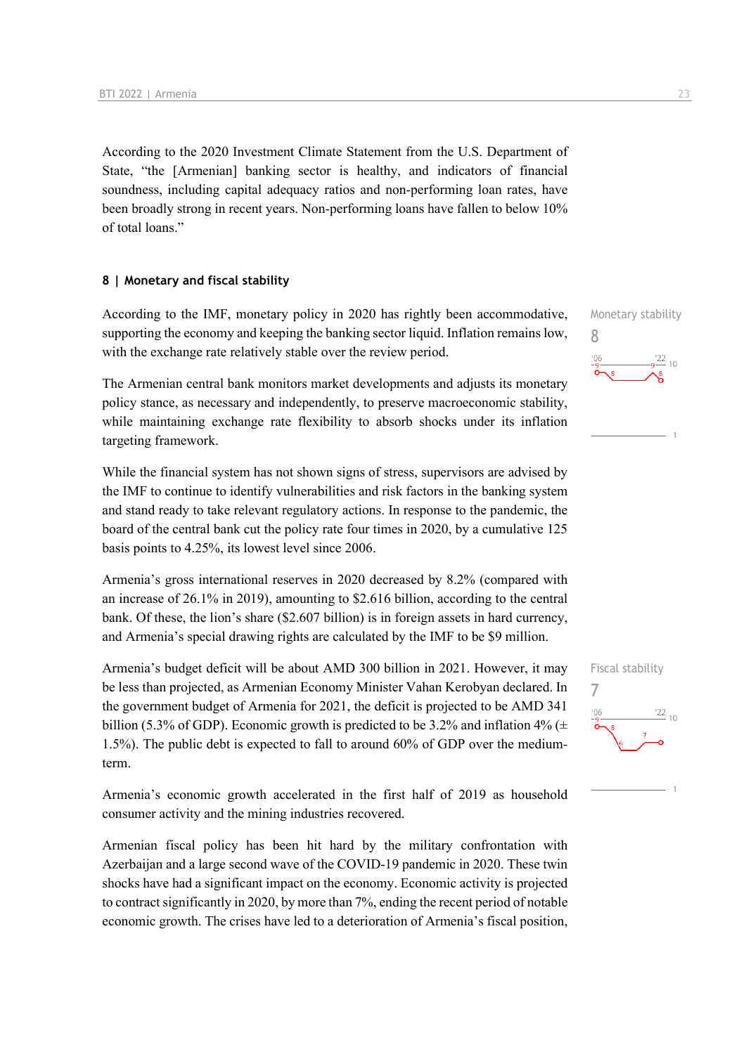According to the 2020 Investment Climate Statement from the U.S. Department of State, "the [Armenian] banking sector is healthy, and indicators of financial soundness, including capital adequacy ratios and non-performing loan rates, have been broadly strong in recent years. Non-performing loans have fallen to below 10% of total loans."

#### **8 | Monetary and fiscal stability**

According to the IMF, monetary policy in 2020 has rightly been accommodative, supporting the economy and keeping the banking sector liquid. Inflation remains low, with the exchange rate relatively stable over the review period.

The Armenian central bank monitors market developments and adjusts its monetary policy stance, as necessary and independently, to preserve macroeconomic stability, while maintaining exchange rate flexibility to absorb shocks under its inflation targeting framework.

While the financial system has not shown signs of stress, supervisors are advised by the IMF to continue to identify vulnerabilities and risk factors in the banking system and stand ready to take relevant regulatory actions. In response to the pandemic, the board of the central bank cut the policy rate four times in 2020, by a cumulative 125 basis points to 4.25%, its lowest level since 2006.

Armenia's gross international reserves in 2020 decreased by 8.2% (compared with an increase of 26.1% in 2019), amounting to \$2.616 billion, according to the central bank. Of these, the lion's share (\$2.607 billion) is in foreign assets in hard currency, and Armenia's special drawing rights are calculated by the IMF to be \$9 million.

Armenia's budget deficit will be about AMD 300 billion in 2021. However, it may be less than projected, as Armenian Economy Minister Vahan Kerobyan declared. In the government budget of Armenia for 2021, the deficit is projected to be AMD 341 billion (5.3% of GDP). Economic growth is predicted to be 3.2% and inflation 4% ( $\pm$ 1.5%). The public debt is expected to fall to around 60% of GDP over the mediumterm.

Armenia's economic growth accelerated in the first half of 2019 as household consumer activity and the mining industries recovered.

Armenian fiscal policy has been hit hard by the military confrontation with Azerbaijan and a large second wave of the COVID-19 pandemic in 2020. These twin shocks have had a significant impact on the economy. Economic activity is projected to contract significantly in 2020, by more than 7%, ending the recent period of notable economic growth. The crises have led to a deterioration of Armenia's fiscal position,

Monetary stability 8  $\frac{22}{10}$ 

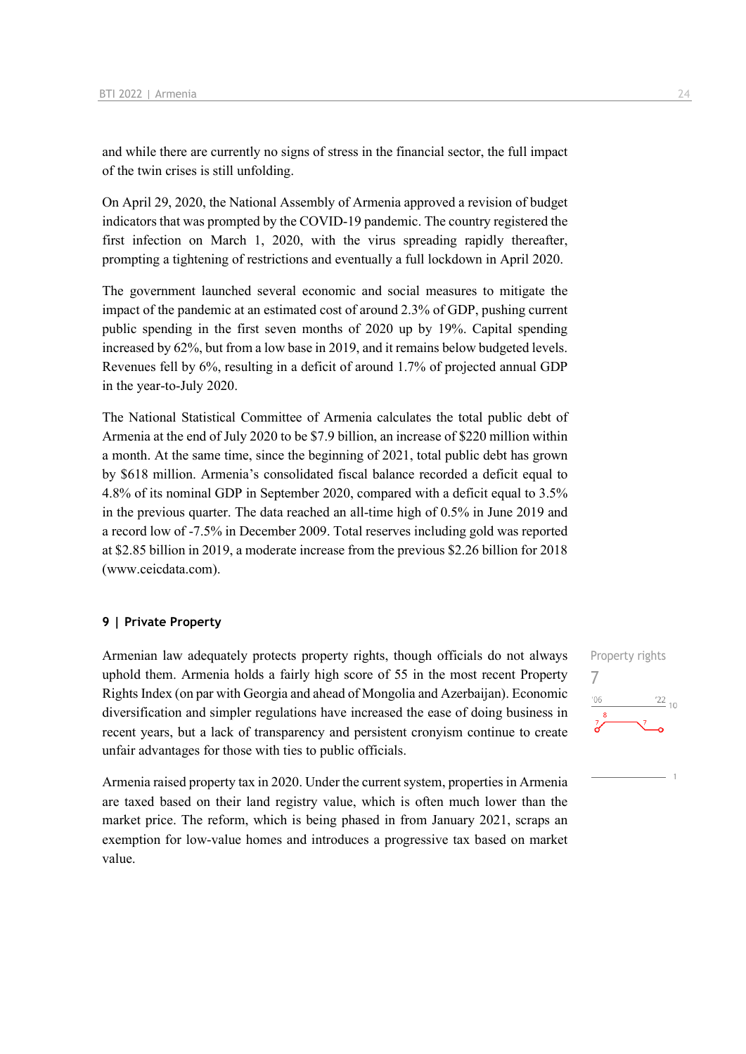and while there are currently no signs of stress in the financial sector, the full impact of the twin crises is still unfolding.

On April 29, 2020, the National Assembly of Armenia approved a revision of budget indicators that was prompted by the COVID-19 pandemic. The country registered the first infection on March 1, 2020, with the virus spreading rapidly thereafter, prompting a tightening of restrictions and eventually a full lockdown in April 2020.

The government launched several economic and social measures to mitigate the impact of the pandemic at an estimated cost of around 2.3% of GDP, pushing current public spending in the first seven months of 2020 up by 19%. Capital spending increased by 62%, but from a low base in 2019, and it remains below budgeted levels. Revenues fell by 6%, resulting in a deficit of around 1.7% of projected annual GDP in the year-to-July 2020.

The National Statistical Committee of Armenia calculates the total public debt of Armenia at the end of July 2020 to be \$7.9 billion, an increase of \$220 million within a month. At the same time, since the beginning of 2021, total public debt has grown by \$618 million. Armenia's consolidated fiscal balance recorded a deficit equal to 4.8% of its nominal GDP in September 2020, compared with a deficit equal to 3.5% in the previous quarter. The data reached an all-time high of 0.5% in June 2019 and a record low of -7.5% in December 2009. Total reserves including gold was reported at \$2.85 billion in 2019, a moderate increase from the previous \$2.26 billion for 2018 (www.ceicdata.com).

#### **9 | Private Property**

Armenian law adequately protects property rights, though officials do not always uphold them. Armenia holds a fairly high score of 55 in the most recent Property Rights Index (on par with Georgia and ahead of Mongolia and Azerbaijan). Economic diversification and simpler regulations have increased the ease of doing business in recent years, but a lack of transparency and persistent cronyism continue to create unfair advantages for those with ties to public officials.

Armenia raised property tax in 2020. Under the current system, properties in Armenia are taxed based on their land registry value, which is often much lower than the market price. The reform, which is being phased in from January 2021, scraps an exemption for low-value homes and introduces a progressive tax based on market value.

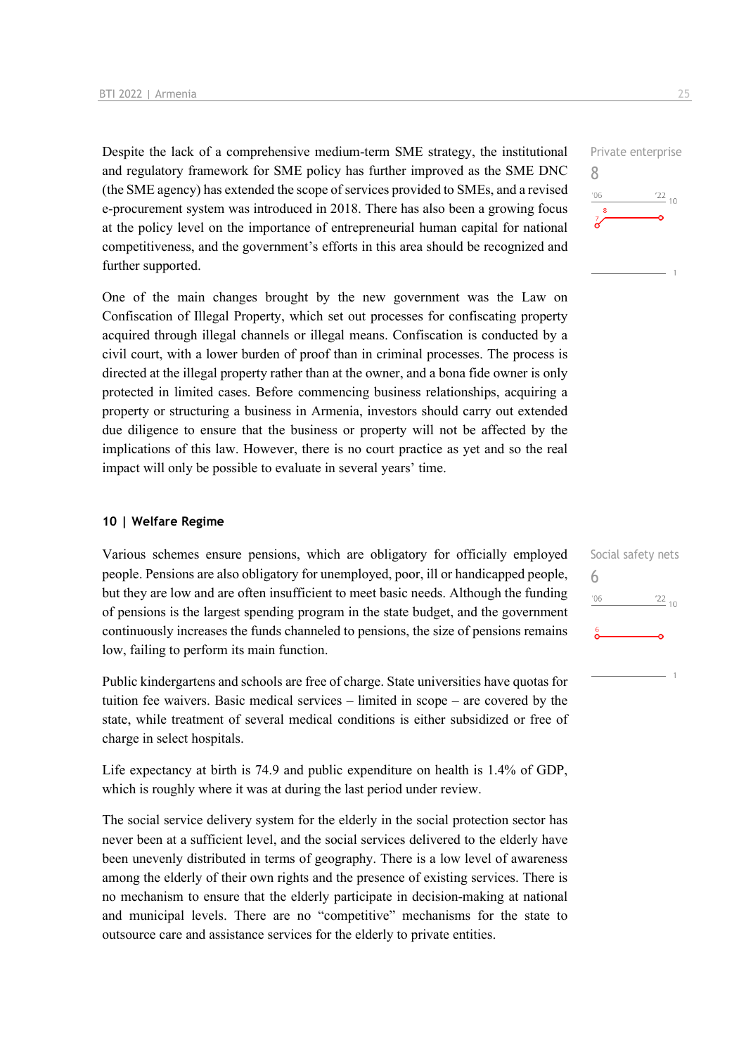Despite the lack of a comprehensive medium-term SME strategy, the institutional and regulatory framework for SME policy has further improved as the SME DNC (the SME agency) has extended the scope of services provided to SMEs, and a revised e-procurement system was introduced in 2018. There has also been a growing focus at the policy level on the importance of entrepreneurial human capital for national competitiveness, and the government's efforts in this area should be recognized and further supported.

One of the main changes brought by the new government was the Law on Confiscation of Illegal Property, which set out processes for confiscating property acquired through illegal channels or illegal means. Confiscation is conducted by a civil court, with a lower burden of proof than in criminal processes. The process is directed at the illegal property rather than at the owner, and a bona fide owner is only protected in limited cases. Before commencing business relationships, acquiring a property or structuring a business in Armenia, investors should carry out extended due diligence to ensure that the business or property will not be affected by the implications of this law. However, there is no court practice as yet and so the real impact will only be possible to evaluate in several years' time.

#### **10 | Welfare Regime**

Various schemes ensure pensions, which are obligatory for officially employed people. Pensions are also obligatory for unemployed, poor, ill or handicapped people, but they are low and are often insufficient to meet basic needs. Although the funding of pensions is the largest spending program in the state budget, and the government continuously increases the funds channeled to pensions, the size of pensions remains low, failing to perform its main function.

Public kindergartens and schools are free of charge. State universities have quotas for tuition fee waivers. Basic medical services – limited in scope – are covered by the state, while treatment of several medical conditions is either subsidized or free of charge in select hospitals.

Life expectancy at birth is 74.9 and public expenditure on health is 1.4% of GDP, which is roughly where it was at during the last period under review.

The social service delivery system for the elderly in the social protection sector has never been at a sufficient level, and the social services delivered to the elderly have been unevenly distributed in terms of geography. There is a low level of awareness among the elderly of their own rights and the presence of existing services. There is no mechanism to ensure that the elderly participate in decision-making at national and municipal levels. There are no "competitive" mechanisms for the state to outsource care and assistance services for the elderly to private entities.



| Social safety nets     |  |
|------------------------|--|
|                        |  |
| '06<br>$\frac{22}{10}$ |  |
| 6                      |  |
|                        |  |
|                        |  |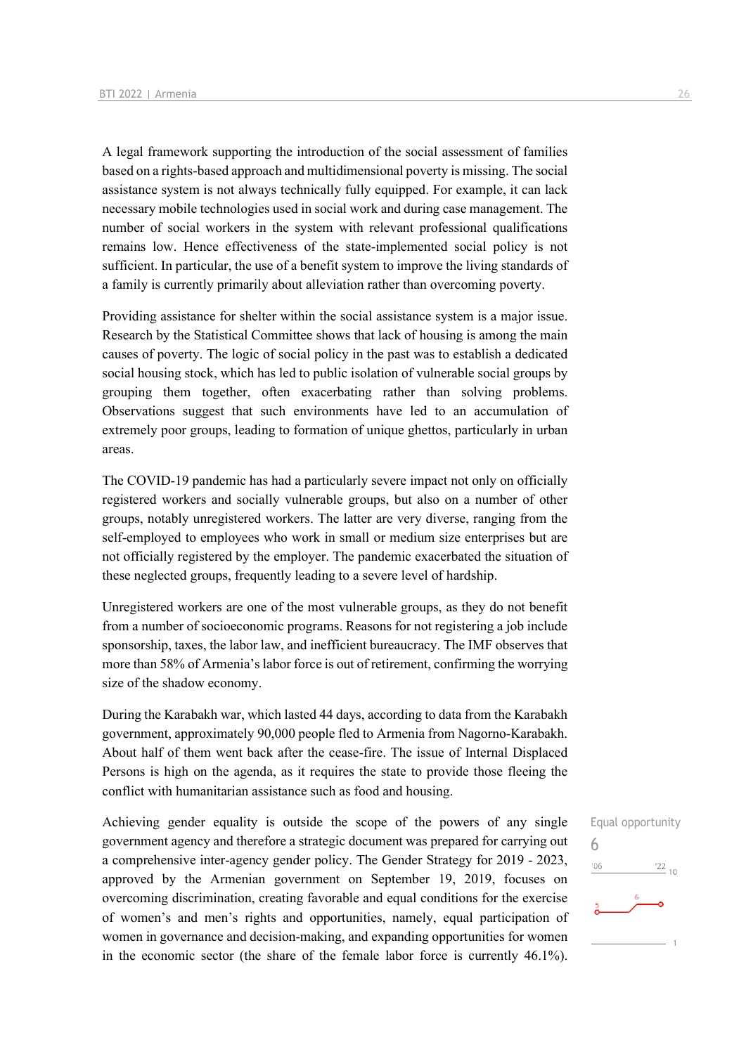A legal framework supporting the introduction of the social assessment of families based on a rights-based approach and multidimensional poverty is missing. The social assistance system is not always technically fully equipped. For example, it can lack necessary mobile technologies used in social work and during case management. The number of social workers in the system with relevant professional qualifications remains low. Hence effectiveness of the state-implemented social policy is not sufficient. In particular, the use of a benefit system to improve the living standards of a family is currently primarily about alleviation rather than overcoming poverty.

Providing assistance for shelter within the social assistance system is a major issue. Research by the Statistical Committee shows that lack of housing is among the main causes of poverty. The logic of social policy in the past was to establish a dedicated social housing stock, which has led to public isolation of vulnerable social groups by grouping them together, often exacerbating rather than solving problems. Observations suggest that such environments have led to an accumulation of extremely poor groups, leading to formation of unique ghettos, particularly in urban areas.

The COVID-19 pandemic has had a particularly severe impact not only on officially registered workers and socially vulnerable groups, but also on a number of other groups, notably unregistered workers. The latter are very diverse, ranging from the self-employed to employees who work in small or medium size enterprises but are not officially registered by the employer. The pandemic exacerbated the situation of these neglected groups, frequently leading to a severe level of hardship.

Unregistered workers are one of the most vulnerable groups, as they do not benefit from a number of socioeconomic programs. Reasons for not registering a job include sponsorship, taxes, the labor law, and inefficient bureaucracy. The IMF observes that more than 58% of Armenia's labor force is out of retirement, confirming the worrying size of the shadow economy.

During the Karabakh war, which lasted 44 days, according to data from the Karabakh government, approximately 90,000 people fled to Armenia from Nagorno-Karabakh. About half of them went back after the cease-fire. The issue of Internal Displaced Persons is high on the agenda, as it requires the state to provide those fleeing the conflict with humanitarian assistance such as food and housing.

Achieving gender equality is outside the scope of the powers of any single government agency and therefore a strategic document was prepared for carrying out a comprehensive inter-agency gender policy. The Gender Strategy for 2019 - 2023, approved by the Armenian government on September 19, 2019, focuses on overcoming discrimination, creating favorable and equal conditions for the exercise of women's and men's rights and opportunities, namely, equal participation of women in governance and decision-making, and expanding opportunities for women in the economic sector (the share of the female labor force is currently 46.1%).

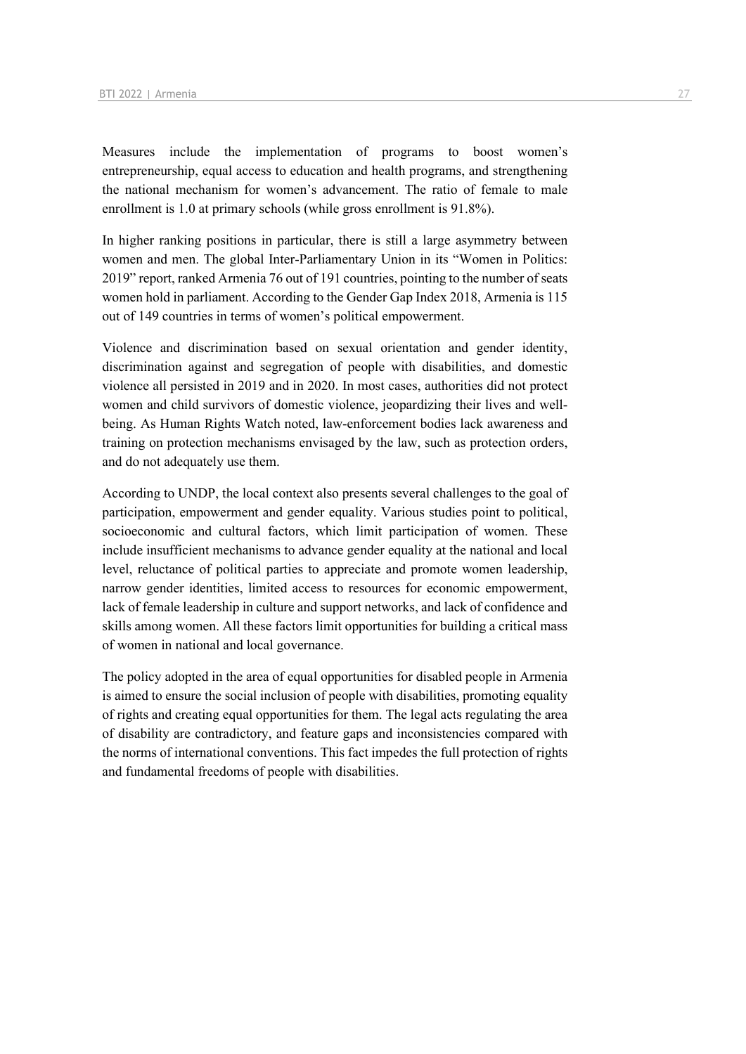Measures include the implementation of programs to boost women's entrepreneurship, equal access to education and health programs, and strengthening the national mechanism for women's advancement. The ratio of female to male enrollment is 1.0 at primary schools (while gross enrollment is 91.8%).

In higher ranking positions in particular, there is still a large asymmetry between women and men. The global Inter-Parliamentary Union in its "Women in Politics: 2019" report, ranked Armenia 76 out of 191 countries, pointing to the number of seats women hold in parliament. According to the Gender Gap Index 2018, Armenia is 115 out of 149 countries in terms of women's political empowerment.

Violence and discrimination based on sexual orientation and gender identity, discrimination against and segregation of people with disabilities, and domestic violence all persisted in 2019 and in 2020. In most cases, authorities did not protect women and child survivors of domestic violence, jeopardizing their lives and wellbeing. As Human Rights Watch noted, law-enforcement bodies lack awareness and training on protection mechanisms envisaged by the law, such as protection orders, and do not adequately use them.

According to UNDP, the local context also presents several challenges to the goal of participation, empowerment and gender equality. Various studies point to political, socioeconomic and cultural factors, which limit participation of women. These include insufficient mechanisms to advance gender equality at the national and local level, reluctance of political parties to appreciate and promote women leadership, narrow gender identities, limited access to resources for economic empowerment, lack of female leadership in culture and support networks, and lack of confidence and skills among women. All these factors limit opportunities for building a critical mass of women in national and local governance.

The policy adopted in the area of equal opportunities for disabled people in Armenia is aimed to ensure the social inclusion of people with disabilities, promoting equality of rights and creating equal opportunities for them. The legal acts regulating the area of disability are contradictory, and feature gaps and inconsistencies compared with the norms of international conventions. This fact impedes the full protection of rights and fundamental freedoms of people with disabilities.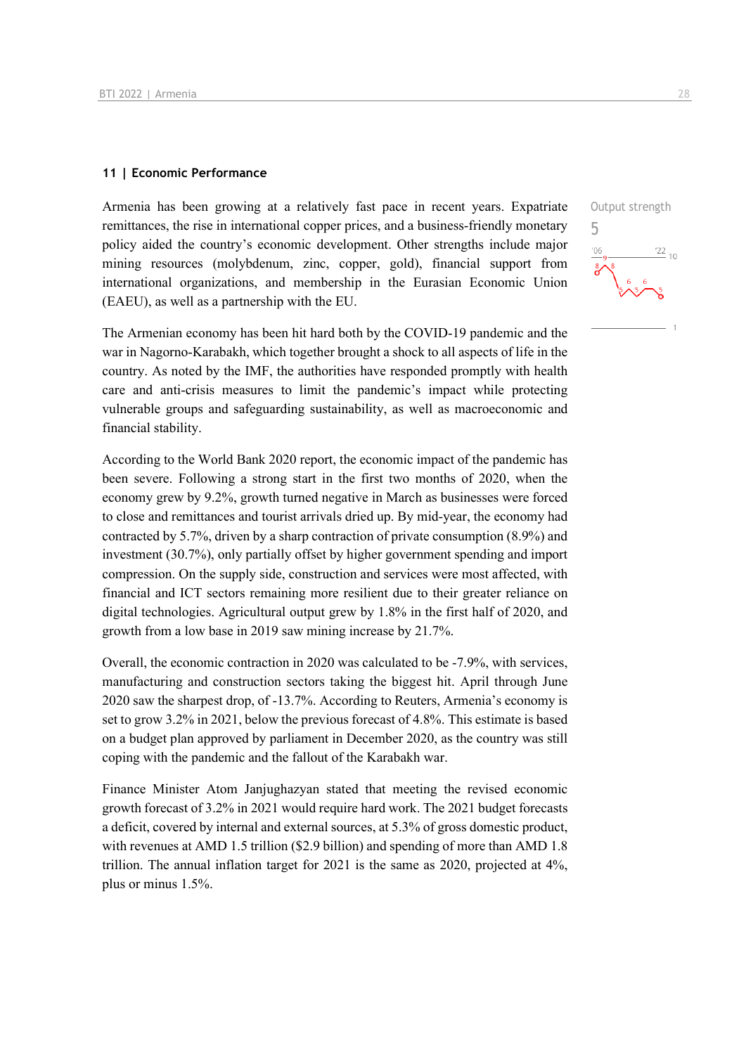#### **11 | Economic Performance**

Armenia has been growing at a relatively fast pace in recent years. Expatriate remittances, the rise in international copper prices, and a business-friendly monetary policy aided the country's economic development. Other strengths include major mining resources (molybdenum, zinc, copper, gold), financial support from international organizations, and membership in the Eurasian Economic Union (EAEU), as well as a partnership with the EU.

The Armenian economy has been hit hard both by the COVID-19 pandemic and the war in Nagorno-Karabakh, which together brought a shock to all aspects of life in the country. As noted by the IMF, the authorities have responded promptly with health care and anti-crisis measures to limit the pandemic's impact while protecting vulnerable groups and safeguarding sustainability, as well as macroeconomic and financial stability.

According to the World Bank 2020 report, the economic impact of the pandemic has been severe. Following a strong start in the first two months of 2020, when the economy grew by 9.2%, growth turned negative in March as businesses were forced to close and remittances and tourist arrivals dried up. By mid-year, the economy had contracted by 5.7%, driven by a sharp contraction of private consumption (8.9%) and investment (30.7%), only partially offset by higher government spending and import compression. On the supply side, construction and services were most affected, with financial and ICT sectors remaining more resilient due to their greater reliance on digital technologies. Agricultural output grew by 1.8% in the first half of 2020, and growth from a low base in 2019 saw mining increase by 21.7%.

Overall, the economic contraction in 2020 was calculated to be -7.9%, with services, manufacturing and construction sectors taking the biggest hit. April through June 2020 saw the sharpest drop, of -13.7%. According to Reuters, Armenia's economy is set to grow 3.2% in 2021, below the previous forecast of 4.8%. This estimate is based on a budget plan approved by parliament in December 2020, as the country was still coping with the pandemic and the fallout of the Karabakh war.

Finance Minister Atom Janjughazyan stated that meeting the revised economic growth forecast of 3.2% in 2021 would require hard work. The 2021 budget forecasts a deficit, covered by internal and external sources, at 5.3% of gross domestic product, with revenues at AMD 1.5 trillion (\$2.9 billion) and spending of more than AMD 1.8 trillion. The annual inflation target for 2021 is the same as 2020, projected at 4%, plus or minus 1.5%.

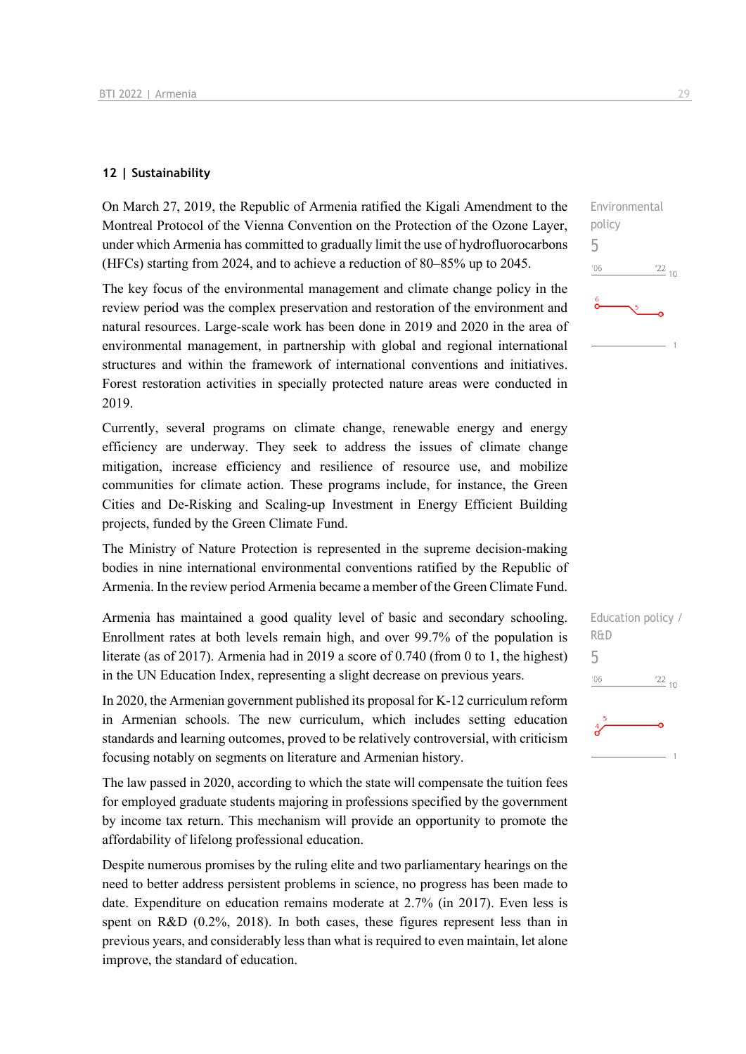#### **12 | Sustainability**

On March 27, 2019, the Republic of Armenia ratified the Kigali Amendment to the Montreal Protocol of the Vienna Convention on the Protection of the Ozone Layer, under which Armenia has committed to gradually limit the use of hydrofluorocarbons (HFCs) starting from 2024, and to achieve a reduction of 80–85% up to 2045.

The key focus of the environmental management and climate change policy in the review period was the complex preservation and restoration of the environment and natural resources. Large-scale work has been done in 2019 and 2020 in the area of environmental management, in partnership with global and regional international structures and within the framework of international conventions and initiatives. Forest restoration activities in specially protected nature areas were conducted in 2019.

Currently, several programs on climate change, renewable energy and energy efficiency are underway. They seek to address the issues of climate change mitigation, increase efficiency and resilience of resource use, and mobilize communities for climate action. These programs include, for instance, the Green Cities and De-Risking and Scaling-up Investment in Energy Efficient Building projects, funded by the Green Climate Fund.

The Ministry of Nature Protection is represented in the supreme decision-making bodies in nine international environmental conventions ratified by the Republic of Armenia. In the review period Armenia became a member of the Green Climate Fund.

Armenia has maintained a good quality level of basic and secondary schooling. Enrollment rates at both levels remain high, and over 99.7% of the population is literate (as of 2017). Armenia had in 2019 a score of 0.740 (from 0 to 1, the highest) in the UN Education Index, representing a slight decrease on previous years.

In 2020, the Armenian government published its proposal for K-12 curriculum reform in Armenian schools. The new curriculum, which includes setting education standards and learning outcomes, proved to be relatively controversial, with criticism focusing notably on segments on literature and Armenian history.

The law passed in 2020, according to which the state will compensate the tuition fees for employed graduate students majoring in professions specified by the government by income tax return. This mechanism will provide an opportunity to promote the affordability of lifelong professional education.

Despite numerous promises by the ruling elite and two parliamentary hearings on the need to better address persistent problems in science, no progress has been made to date. Expenditure on education remains moderate at 2.7% (in 2017). Even less is spent on R&D (0.2%, 2018). In both cases, these figures represent less than in previous years, and considerably less than what is required to even maintain, let alone improve, the standard of education.

 $\frac{22}{10}$ 

Environmental

policy 5

 $06'$ 

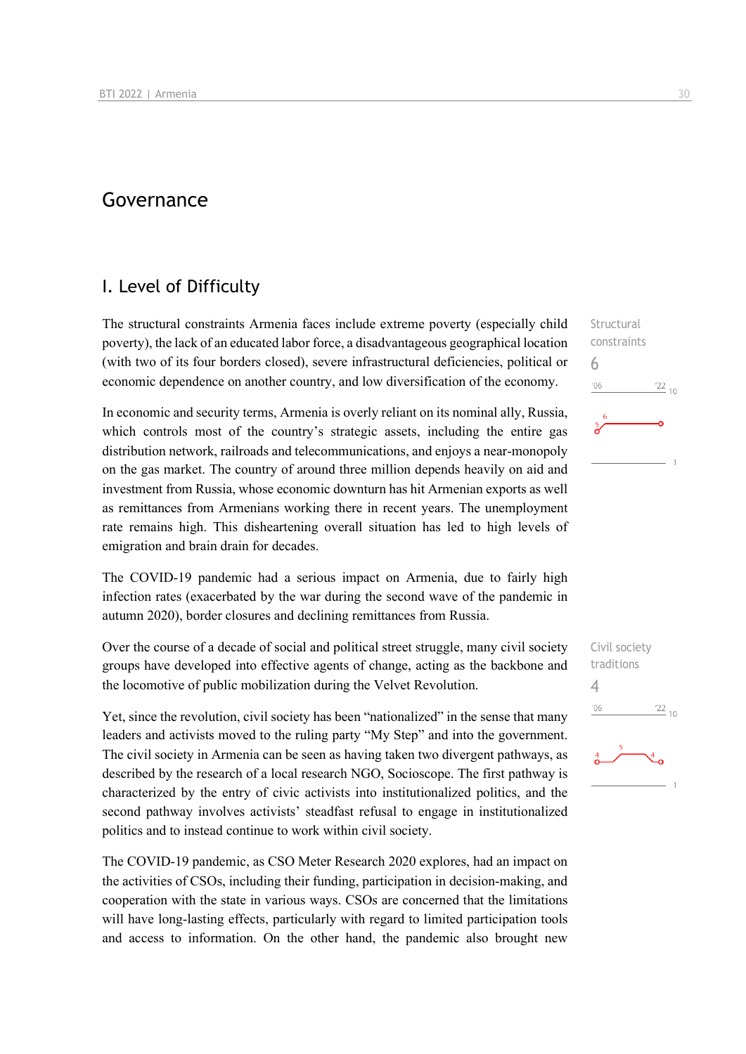## Governance

## I. Level of Difficulty

The structural constraints Armenia faces include extreme poverty (especially child poverty), the lack of an educated labor force, a disadvantageous geographical location (with two of its four borders closed), severe infrastructural deficiencies, political or economic dependence on another country, and low diversification of the economy.

In economic and security terms, Armenia is overly reliant on its nominal ally, Russia, which controls most of the country's strategic assets, including the entire gas distribution network, railroads and telecommunications, and enjoys a near-monopoly on the gas market. The country of around three million depends heavily on aid and investment from Russia, whose economic downturn has hit Armenian exports as well as remittances from Armenians working there in recent years. The unemployment rate remains high. This disheartening overall situation has led to high levels of emigration and brain drain for decades.

The COVID-19 pandemic had a serious impact on Armenia, due to fairly high infection rates (exacerbated by the war during the second wave of the pandemic in autumn 2020), border closures and declining remittances from Russia.

Over the course of a decade of social and political street struggle, many civil society groups have developed into effective agents of change, acting as the backbone and the locomotive of public mobilization during the Velvet Revolution.

Yet, since the revolution, civil society has been "nationalized" in the sense that many leaders and activists moved to the ruling party "My Step" and into the government. The civil society in Armenia can be seen as having taken two divergent pathways, as described by the research of a local research NGO, Socioscope. The first pathway is characterized by the entry of civic activists into institutionalized politics, and the second pathway involves activists' steadfast refusal to engage in institutionalized politics and to instead continue to work within civil society.

The COVID-19 pandemic, as CSO Meter Research 2020 explores, had an impact on the activities of CSOs, including their funding, participation in decision-making, and cooperation with the state in various ways. CSOs are concerned that the limitations will have long-lasting effects, particularly with regard to limited participation tools and access to information. On the other hand, the pandemic also brought new

**Structural** constraints 6  $106$  $122_{10}$ 

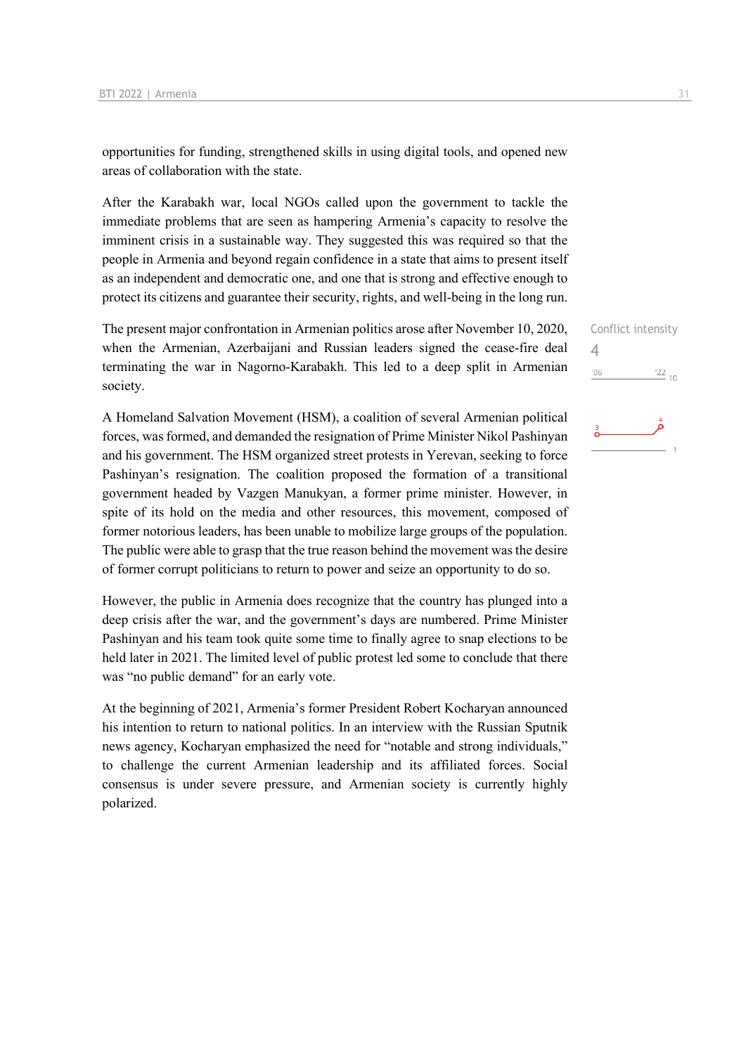opportunities for funding, strengthened skills in using digital tools, and opened new areas of collaboration with the state.

After the Karabakh war, local NGOs called upon the government to tackle the immediate problems that are seen as hampering Armenia's capacity to resolve the imminent crisis in a sustainable way. They suggested this was required so that the people in Armenia and beyond regain confidence in a state that aims to present itself as an independent and democratic one, and one that is strong and effective enough to protect its citizens and guarantee their security, rights, and well-being in the long run.

The present major confrontation in Armenian politics arose after November 10, 2020, when the Armenian, Azerbaijani and Russian leaders signed the cease-fire deal terminating the war in Nagorno-Karabakh. This led to a deep split in Armenian society.

A Homeland Salvation Movement (HSM), a coalition of several Armenian political forces, was formed, and demanded the resignation of Prime Minister Nikol Pashinyan and his government. The HSM organized street protests in Yerevan, seeking to force Pashinyan's resignation. The coalition proposed the formation of a transitional government headed by Vazgen Manukyan, a former prime minister. However, in spite of its hold on the media and other resources, this movement, composed of former notorious leaders, has been unable to mobilize large groups of the population. The public were able to grasp that the true reason behind the movement was the desire of former corrupt politicians to return to power and seize an opportunity to do so.

However, the public in Armenia does recognize that the country has plunged into a deep crisis after the war, and the government's days are numbered. Prime Minister Pashinyan and his team took quite some time to finally agree to snap elections to be held later in 2021. The limited level of public protest led some to conclude that there was "no public demand" for an early vote.

At the beginning of 2021, Armenia's former President Robert Kocharyan announced his intention to return to national politics. In an interview with the Russian Sputnik news agency, Kocharyan emphasized the need for "notable and strong individuals," to challenge the current Armenian leadership and its affiliated forces. Social consensus is under severe pressure, and Armenian society is currently highly polarized.

|     | Conflict intensity |
|-----|--------------------|
| 4   |                    |
| '06 | $^{22}$ 10         |
|     |                    |

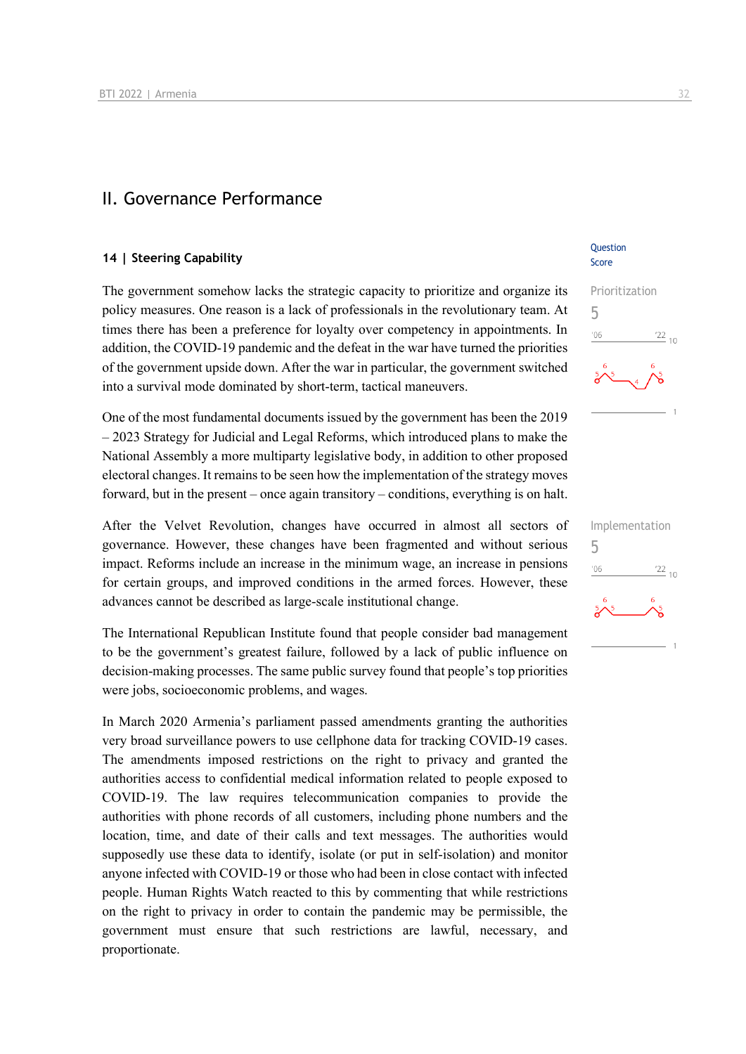## II. Governance Performance

#### **14 | Steering Capability**

The government somehow lacks the strategic capacity to prioritize and organize its policy measures. One reason is a lack of professionals in the revolutionary team. At times there has been a preference for loyalty over competency in appointments. In addition, the COVID-19 pandemic and the defeat in the war have turned the priorities of the government upside down. After the war in particular, the government switched into a survival mode dominated by short-term, tactical maneuvers.

One of the most fundamental documents issued by the government has been the 2019 – 2023 Strategy for Judicial and Legal Reforms, which introduced plans to make the National Assembly a more multiparty legislative body, in addition to other proposed electoral changes. It remains to be seen how the implementation of the strategy moves forward, but in the present – once again transitory – conditions, everything is on halt.

After the Velvet Revolution, changes have occurred in almost all sectors of governance. However, these changes have been fragmented and without serious impact. Reforms include an increase in the minimum wage, an increase in pensions for certain groups, and improved conditions in the armed forces. However, these advances cannot be described as large-scale institutional change.

The International Republican Institute found that people consider bad management to be the government's greatest failure, followed by a lack of public influence on decision-making processes. The same public survey found that people's top priorities were jobs, socioeconomic problems, and wages.

In March 2020 Armenia's parliament passed amendments granting the authorities very broad surveillance powers to use cellphone data for tracking COVID-19 cases. The amendments imposed restrictions on the right to privacy and granted the authorities access to confidential medical information related to people exposed to COVID-19. The law requires telecommunication companies to provide the authorities with phone records of all customers, including phone numbers and the location, time, and date of their calls and text messages. The authorities would supposedly use these data to identify, isolate (or put in self-isolation) and monitor anyone infected with COVID-19 or those who had been in close contact with infected people. Human Rights Watch reacted to this by commenting that while restrictions on the right to privacy in order to contain the pandemic may be permissible, the government must ensure that such restrictions are lawful, necessary, and proportionate.

**Ouestion** Score



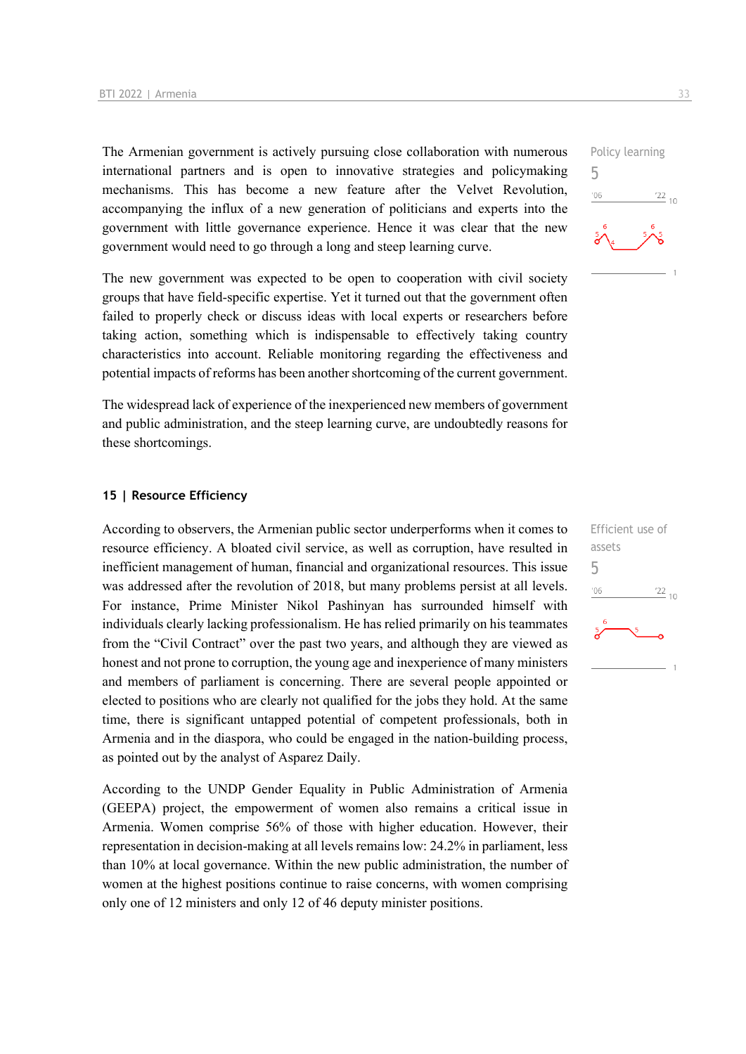The Armenian government is actively pursuing close collaboration with numerous international partners and is open to innovative strategies and policymaking mechanisms. This has become a new feature after the Velvet Revolution, accompanying the influx of a new generation of politicians and experts into the government with little governance experience. Hence it was clear that the new government would need to go through a long and steep learning curve.

The new government was expected to be open to cooperation with civil society groups that have field-specific expertise. Yet it turned out that the government often failed to properly check or discuss ideas with local experts or researchers before taking action, something which is indispensable to effectively taking country characteristics into account. Reliable monitoring regarding the effectiveness and potential impacts of reforms has been another shortcoming of the current government.

The widespread lack of experience of the inexperienced new members of government and public administration, and the steep learning curve, are undoubtedly reasons for these shortcomings.

#### **15 | Resource Efficiency**

According to observers, the Armenian public sector underperforms when it comes to resource efficiency. A bloated civil service, as well as corruption, have resulted in inefficient management of human, financial and organizational resources. This issue was addressed after the revolution of 2018, but many problems persist at all levels. For instance, Prime Minister Nikol Pashinyan has surrounded himself with individuals clearly lacking professionalism. He has relied primarily on his teammates from the "Civil Contract" over the past two years, and although they are viewed as honest and not prone to corruption, the young age and inexperience of many ministers and members of parliament is concerning. There are several people appointed or elected to positions who are clearly not qualified for the jobs they hold. At the same time, there is significant untapped potential of competent professionals, both in Armenia and in the diaspora, who could be engaged in the nation-building process, as pointed out by the analyst of Asparez Daily.

According to the UNDP Gender Equality in Public Administration of Armenia (GEEPA) project, the empowerment of women also remains a critical issue in Armenia. Women comprise 56% of those with higher education. However, their representation in decision-making at all levels remains low: 24.2% in parliament, less than 10% at local governance. Within the new public administration, the number of women at the highest positions continue to raise concerns, with women comprising only one of 12 ministers and only 12 of 46 deputy minister positions.



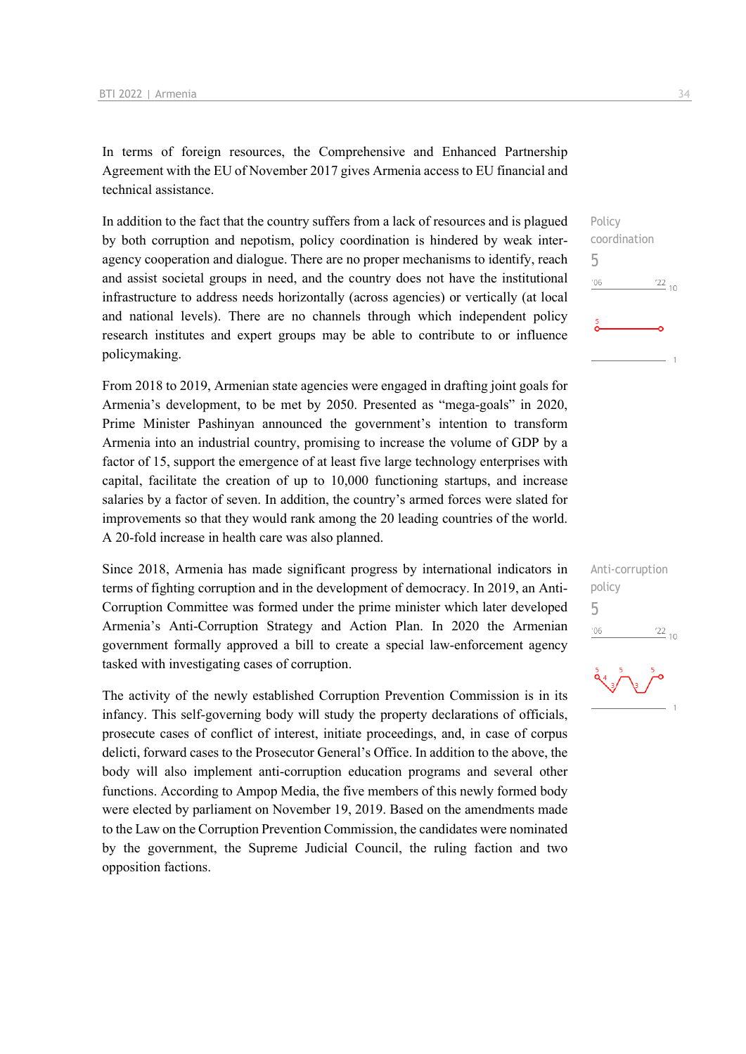In terms of foreign resources, the Comprehensive and Enhanced Partnership Agreement with the EU of November 2017 gives Armenia access to EU financial and technical assistance.

In addition to the fact that the country suffers from a lack of resources and is plagued by both corruption and nepotism, policy coordination is hindered by weak interagency cooperation and dialogue. There are no proper mechanisms to identify, reach and assist societal groups in need, and the country does not have the institutional infrastructure to address needs horizontally (across agencies) or vertically (at local and national levels). There are no channels through which independent policy research institutes and expert groups may be able to contribute to or influence policymaking.

From 2018 to 2019, Armenian state agencies were engaged in drafting joint goals for Armenia's development, to be met by 2050. Presented as "mega-goals" in 2020, Prime Minister Pashinyan announced the government's intention to transform Armenia into an industrial country, promising to increase the volume of GDP by a factor of 15, support the emergence of at least five large technology enterprises with capital, facilitate the creation of up to 10,000 functioning startups, and increase salaries by a factor of seven. In addition, the country's armed forces were slated for improvements so that they would rank among the 20 leading countries of the world. A 20-fold increase in health care was also planned.

Since 2018, Armenia has made significant progress by international indicators in terms of fighting corruption and in the development of democracy. In 2019, an Anti-Corruption Committee was formed under the prime minister which later developed Armenia's Anti-Corruption Strategy and Action Plan. In 2020 the Armenian government formally approved a bill to create a special law-enforcement agency tasked with investigating cases of corruption.

The activity of the newly established Corruption Prevention Commission is in its infancy. This self-governing body will study the property declarations of officials, prosecute cases of conflict of interest, initiate proceedings, and, in case of corpus delicti, forward cases to the Prosecutor General's Office. In addition to the above, the body will also implement anti-corruption education programs and several other functions. According to Ampop Media, the five members of this newly formed body were elected by parliament on November 19, 2019. Based on the amendments made to the Law on the Corruption Prevention Commission, the candidates were nominated by the government, the Supreme Judicial Council, the ruling faction and two opposition factions.





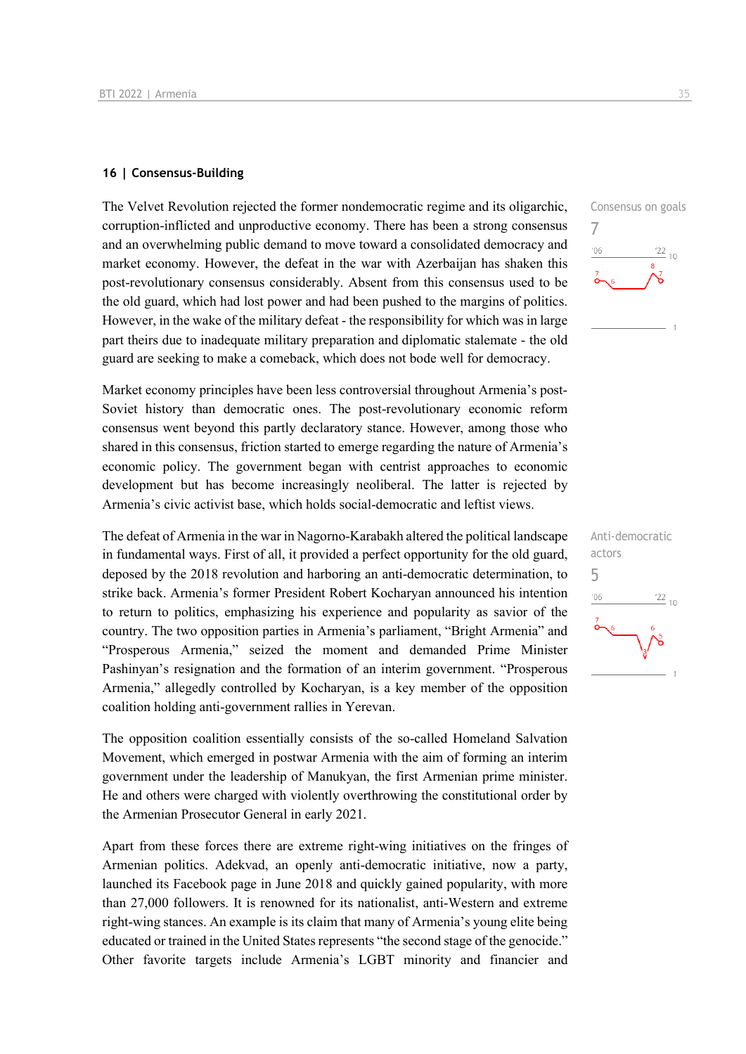#### **16 | Consensus-Building**

The Velvet Revolution rejected the former nondemocratic regime and its oligarchic, corruption-inflicted and unproductive economy. There has been a strong consensus and an overwhelming public demand to move toward a consolidated democracy and market economy. However, the defeat in the war with Azerbaijan has shaken this post-revolutionary consensus considerably. Absent from this consensus used to be the old guard, which had lost power and had been pushed to the margins of politics. However, in the wake of the military defeat - the responsibility for which was in large part theirs due to inadequate military preparation and diplomatic stalemate - the old guard are seeking to make a comeback, which does not bode well for democracy.

Market economy principles have been less controversial throughout Armenia's post-Soviet history than democratic ones. The post-revolutionary economic reform consensus went beyond this partly declaratory stance. However, among those who shared in this consensus, friction started to emerge regarding the nature of Armenia's economic policy. The government began with centrist approaches to economic development but has become increasingly neoliberal. The latter is rejected by Armenia's civic activist base, which holds social-democratic and leftist views.

The defeat of Armenia in the war in Nagorno-Karabakh altered the political landscape in fundamental ways. First of all, it provided a perfect opportunity for the old guard, deposed by the 2018 revolution and harboring an anti-democratic determination, to strike back. Armenia's former President Robert Kocharyan announced his intention to return to politics, emphasizing his experience and popularity as savior of the country. The two opposition parties in Armenia's parliament, "Bright Armenia" and "Prosperous Armenia," seized the moment and demanded Prime Minister Pashinyan's resignation and the formation of an interim government. "Prosperous Armenia," allegedly controlled by Kocharyan, is a key member of the opposition coalition holding anti-government rallies in Yerevan.

The opposition coalition essentially consists of the so-called Homeland Salvation Movement, which emerged in postwar Armenia with the aim of forming an interim government under the leadership of Manukyan, the first Armenian prime minister. He and others were charged with violently overthrowing the constitutional order by the Armenian Prosecutor General in early 2021.

Apart from these forces there are extreme right-wing initiatives on the fringes of Armenian politics. Adekvad, an openly anti-democratic initiative, now a party, launched its Facebook page in June 2018 and quickly gained popularity, with more than 27,000 followers. It is renowned for its nationalist, anti-Western and extreme right-wing stances. An example is its claim that many of Armenia's young elite being educated or trained in the United States represents "the second stage of the genocide." Other favorite targets include Armenia's LGBT minority and financier and



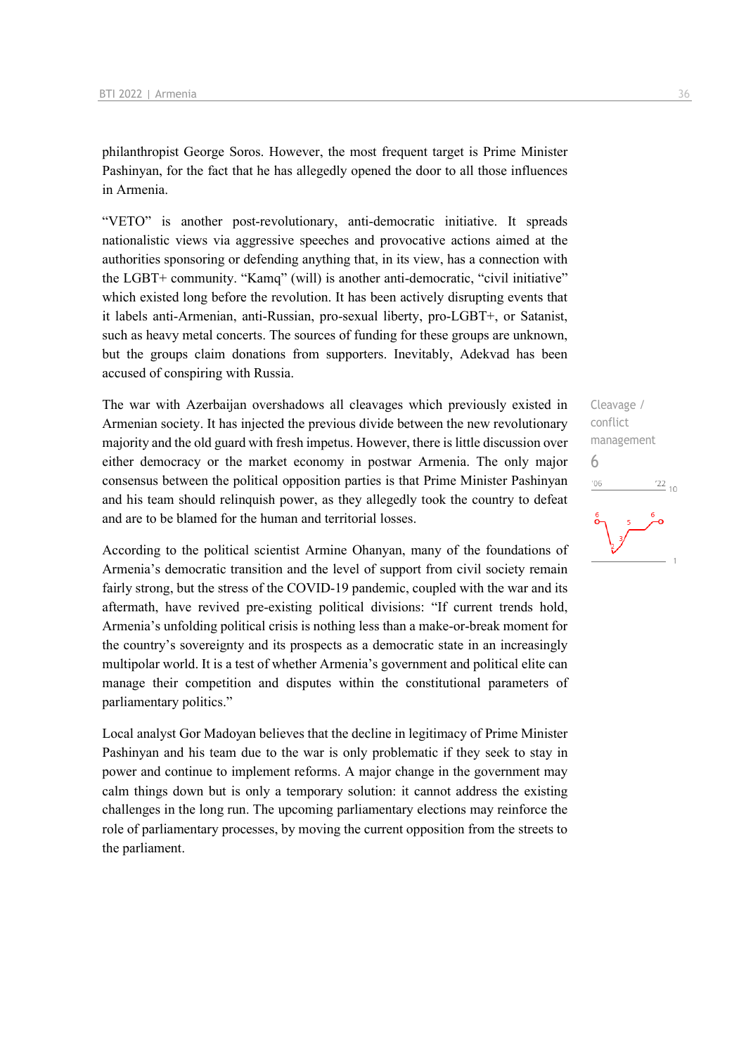philanthropist George Soros. However, the most frequent target is Prime Minister Pashinyan, for the fact that he has allegedly opened the door to all those influences in Armenia.

"VETO" is another post-revolutionary, anti-democratic initiative. It spreads nationalistic views via aggressive speeches and provocative actions aimed at the authorities sponsoring or defending anything that, in its view, has a connection with the LGBT+ community. "Kamq" (will) is another anti-democratic, "civil initiative" which existed long before the revolution. It has been actively disrupting events that it labels anti-Armenian, anti-Russian, pro-sexual liberty, pro-LGBT+, or Satanist, such as heavy metal concerts. The sources of funding for these groups are unknown, but the groups claim donations from supporters. Inevitably, Adekvad has been accused of conspiring with Russia.

The war with Azerbaijan overshadows all cleavages which previously existed in Armenian society. It has injected the previous divide between the new revolutionary majority and the old guard with fresh impetus. However, there is little discussion over either democracy or the market economy in postwar Armenia. The only major consensus between the political opposition parties is that Prime Minister Pashinyan and his team should relinquish power, as they allegedly took the country to defeat and are to be blamed for the human and territorial losses.

According to the political scientist Armine Ohanyan, many of the foundations of Armenia's democratic transition and the level of support from civil society remain fairly strong, but the stress of the COVID-19 pandemic, coupled with the war and its aftermath, have revived pre-existing political divisions: "If current trends hold, Armenia's unfolding political crisis is nothing less than a make-or-break moment for the country's sovereignty and its prospects as a democratic state in an increasingly multipolar world. It is a test of whether Armenia's government and political elite can manage their competition and disputes within the constitutional parameters of parliamentary politics."

Local analyst Gor Madoyan believes that the decline in legitimacy of Prime Minister Pashinyan and his team due to the war is only problematic if they seek to stay in power and continue to implement reforms. A major change in the government may calm things down but is only a temporary solution: it cannot address the existing challenges in the long run. The upcoming parliamentary elections may reinforce the role of parliamentary processes, by moving the current opposition from the streets to the parliament.

Cleavage / conflict management 6 $106$  $\frac{22}{10}$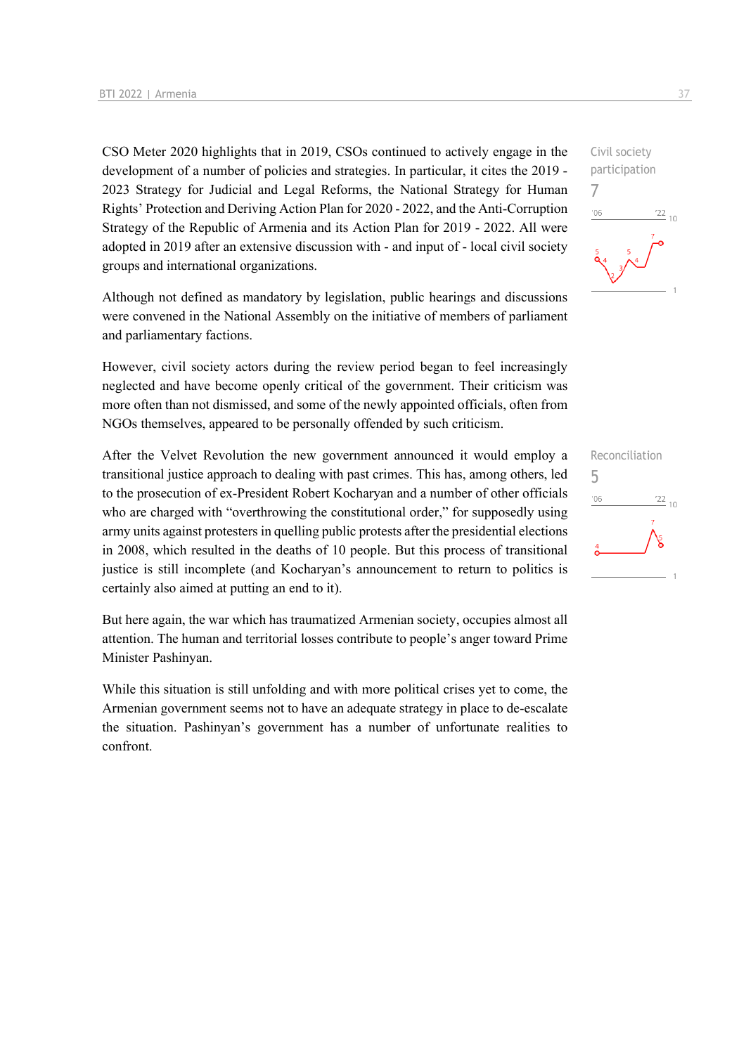CSO Meter 2020 highlights that in 2019, CSOs continued to actively engage in the development of a number of policies and strategies. In particular, it cites the 2019 - 2023 Strategy for Judicial and Legal Reforms, the National Strategy for Human Rights' Protection and Deriving Action Plan for 2020 - 2022, and the Anti-Corruption Strategy of the Republic of Armenia and its Action Plan for 2019 - 2022. All were adopted in 2019 after an extensive discussion with - and input of - local civil society groups and international organizations.

Although not defined as mandatory by legislation, public hearings and discussions were convened in the National Assembly on the initiative of members of parliament and parliamentary factions.

However, civil society actors during the review period began to feel increasingly neglected and have become openly critical of the government. Their criticism was more often than not dismissed, and some of the newly appointed officials, often from NGOs themselves, appeared to be personally offended by such criticism.

After the Velvet Revolution the new government announced it would employ a transitional justice approach to dealing with past crimes. This has, among others, led to the prosecution of ex-President Robert Kocharyan and a number of other officials who are charged with "overthrowing the constitutional order," for supposedly using army units against protesters in quelling public protests after the presidential elections in 2008, which resulted in the deaths of 10 people. But this process of transitional justice is still incomplete (and Kocharyan's announcement to return to politics is certainly also aimed at putting an end to it).

But here again, the war which has traumatized Armenian society, occupies almost all attention. The human and territorial losses contribute to people's anger toward Prime Minister Pashinyan.

While this situation is still unfolding and with more political crises yet to come, the Armenian government seems not to have an adequate strategy in place to de-escalate the situation. Pashinyan's government has a number of unfortunate realities to confront.

participation 7  $06'$  $\frac{22}{10}$ 

Civil society

Reconciliation 5 $-06$  $\frac{22}{10}$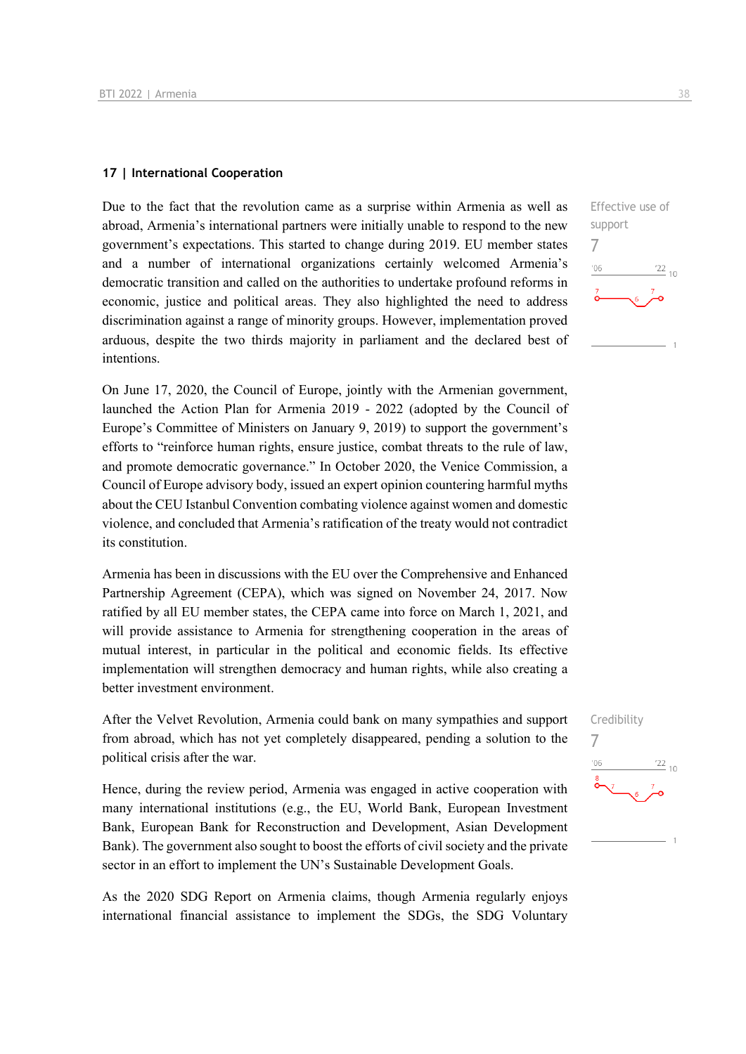#### **17 | International Cooperation**

Due to the fact that the revolution came as a surprise within Armenia as well as abroad, Armenia's international partners were initially unable to respond to the new government's expectations. This started to change during 2019. EU member states and a number of international organizations certainly welcomed Armenia's democratic transition and called on the authorities to undertake profound reforms in economic, justice and political areas. They also highlighted the need to address discrimination against a range of minority groups. However, implementation proved arduous, despite the two thirds majority in parliament and the declared best of intentions.

On June 17, 2020, the Council of Europe, jointly with the Armenian government, launched the Action Plan for Armenia 2019 - 2022 (adopted by the Council of Europe's Committee of Ministers on January 9, 2019) to support the government's efforts to "reinforce human rights, ensure justice, combat threats to the rule of law, and promote democratic governance." In October 2020, the Venice Commission, a Council of Europe advisory body, issued an expert opinion countering harmful myths about the CEU Istanbul Convention combating violence against women and domestic violence, and concluded that Armenia's ratification of the treaty would not contradict its constitution.

Armenia has been in discussions with the EU over the Comprehensive and Enhanced Partnership Agreement (CEPA), which was signed on November 24, 2017. Now ratified by all EU member states, the CEPA came into force on March 1, 2021, and will provide assistance to Armenia for strengthening cooperation in the areas of mutual interest, in particular in the political and economic fields. Its effective implementation will strengthen democracy and human rights, while also creating a better investment environment.

After the Velvet Revolution, Armenia could bank on many sympathies and support from abroad, which has not yet completely disappeared, pending a solution to the political crisis after the war.

Hence, during the review period, Armenia was engaged in active cooperation with many international institutions (e.g., the EU, World Bank, European Investment Bank, European Bank for Reconstruction and Development, Asian Development Bank). The government also sought to boost the efforts of civil society and the private sector in an effort to implement the UN's Sustainable Development Goals.

As the 2020 SDG Report on Armenia claims, though Armenia regularly enjoys international financial assistance to implement the SDGs, the SDG Voluntary



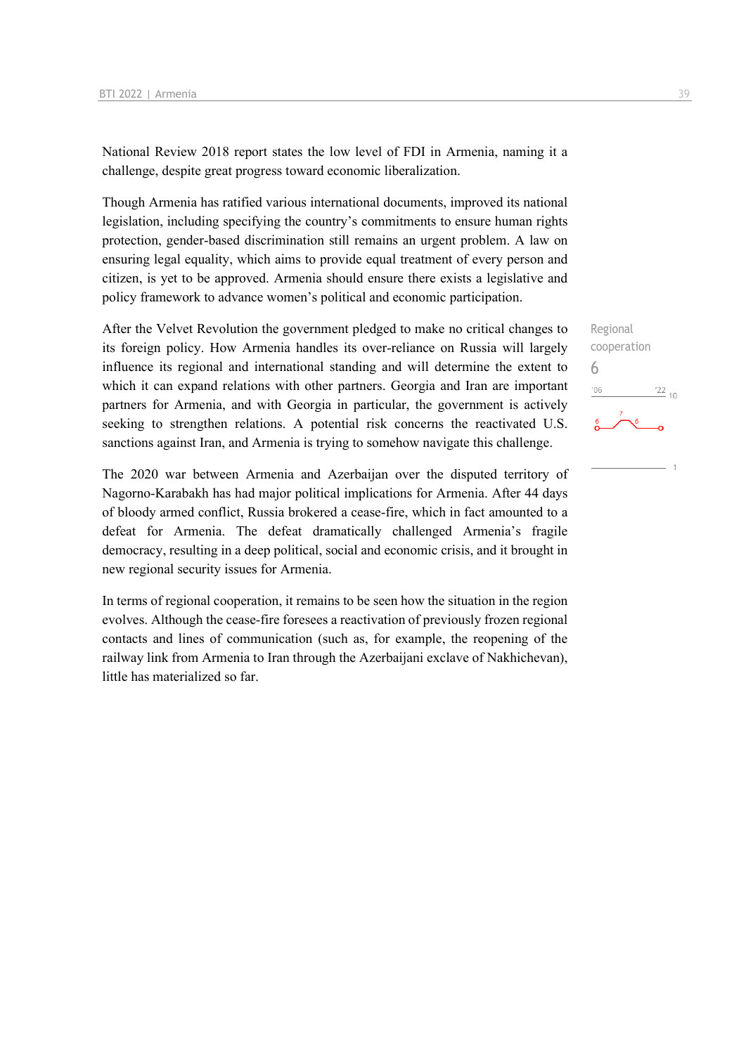National Review 2018 report states the low level of FDI in Armenia, naming it a challenge, despite great progress toward economic liberalization.

Though Armenia has ratified various international documents, improved its national legislation, including specifying the country's commitments to ensure human rights protection, gender-based discrimination still remains an urgent problem. A law on ensuring legal equality, which aims to provide equal treatment of every person and citizen, is yet to be approved. Armenia should ensure there exists a legislative and policy framework to advance women's political and economic participation.

After the Velvet Revolution the government pledged to make no critical changes to its foreign policy. How Armenia handles its over-reliance on Russia will largely influence its regional and international standing and will determine the extent to which it can expand relations with other partners. Georgia and Iran are important partners for Armenia, and with Georgia in particular, the government is actively seeking to strengthen relations. A potential risk concerns the reactivated U.S. sanctions against Iran, and Armenia is trying to somehow navigate this challenge.

The 2020 war between Armenia and Azerbaijan over the disputed territory of Nagorno-Karabakh has had major political implications for Armenia. After 44 days of bloody armed conflict, Russia brokered a cease-fire, which in fact amounted to a defeat for Armenia. The defeat dramatically challenged Armenia's fragile democracy, resulting in a deep political, social and economic crisis, and it brought in new regional security issues for Armenia.

In terms of regional cooperation, it remains to be seen how the situation in the region evolves. Although the cease-fire foresees a reactivation of previously frozen regional contacts and lines of communication (such as, for example, the reopening of the railway link from Armenia to Iran through the Azerbaijani exclave of Nakhichevan), little has materialized so far.

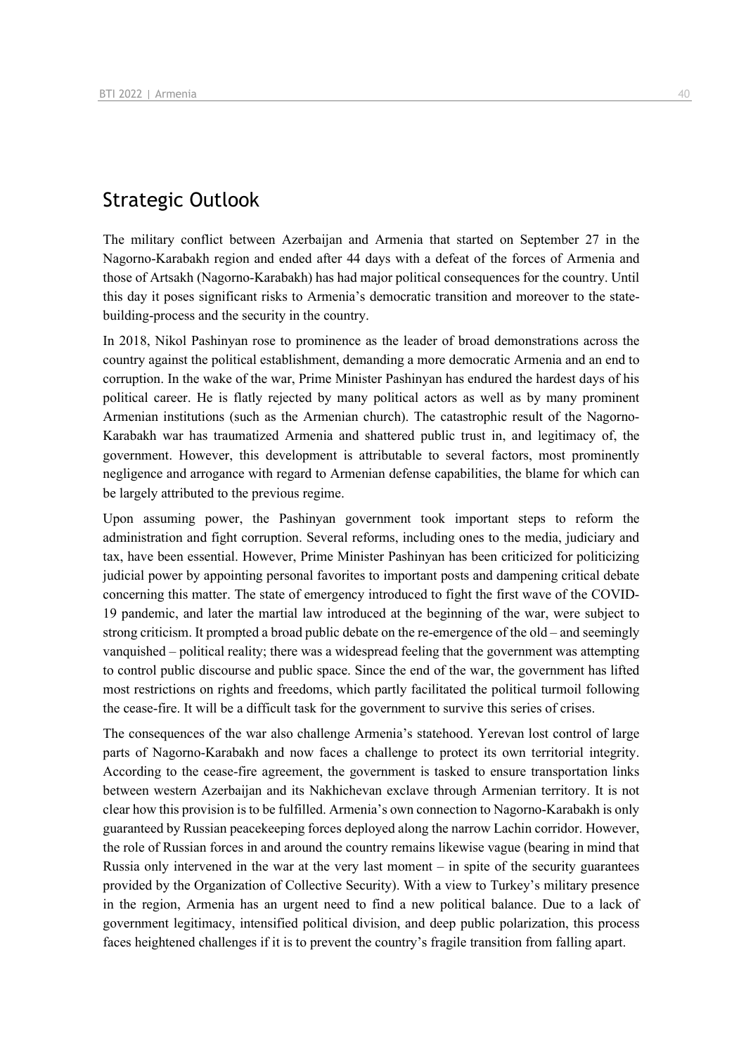## Strategic Outlook

The military conflict between Azerbaijan and Armenia that started on September 27 in the Nagorno-Karabakh region and ended after 44 days with a defeat of the forces of Armenia and those of Artsakh (Nagorno-Karabakh) has had major political consequences for the country. Until this day it poses significant risks to Armenia's democratic transition and moreover to the statebuilding-process and the security in the country.

In 2018, Nikol Pashinyan rose to prominence as the leader of broad demonstrations across the country against the political establishment, demanding a more democratic Armenia and an end to corruption. In the wake of the war, Prime Minister Pashinyan has endured the hardest days of his political career. He is flatly rejected by many political actors as well as by many prominent Armenian institutions (such as the Armenian church). The catastrophic result of the Nagorno-Karabakh war has traumatized Armenia and shattered public trust in, and legitimacy of, the government. However, this development is attributable to several factors, most prominently negligence and arrogance with regard to Armenian defense capabilities, the blame for which can be largely attributed to the previous regime.

Upon assuming power, the Pashinyan government took important steps to reform the administration and fight corruption. Several reforms, including ones to the media, judiciary and tax, have been essential. However, Prime Minister Pashinyan has been criticized for politicizing judicial power by appointing personal favorites to important posts and dampening critical debate concerning this matter. The state of emergency introduced to fight the first wave of the COVID-19 pandemic, and later the martial law introduced at the beginning of the war, were subject to strong criticism. It prompted a broad public debate on the re-emergence of the old – and seemingly vanquished – political reality; there was a widespread feeling that the government was attempting to control public discourse and public space. Since the end of the war, the government has lifted most restrictions on rights and freedoms, which partly facilitated the political turmoil following the cease-fire. It will be a difficult task for the government to survive this series of crises.

The consequences of the war also challenge Armenia's statehood. Yerevan lost control of large parts of Nagorno-Karabakh and now faces a challenge to protect its own territorial integrity. According to the cease-fire agreement, the government is tasked to ensure transportation links between western Azerbaijan and its Nakhichevan exclave through Armenian territory. It is not clear how this provision is to be fulfilled. Armenia's own connection to Nagorno-Karabakh is only guaranteed by Russian peacekeeping forces deployed along the narrow Lachin corridor. However, the role of Russian forces in and around the country remains likewise vague (bearing in mind that Russia only intervened in the war at the very last moment – in spite of the security guarantees provided by the Organization of Collective Security). With a view to Turkey's military presence in the region, Armenia has an urgent need to find a new political balance. Due to a lack of government legitimacy, intensified political division, and deep public polarization, this process faces heightened challenges if it is to prevent the country's fragile transition from falling apart.